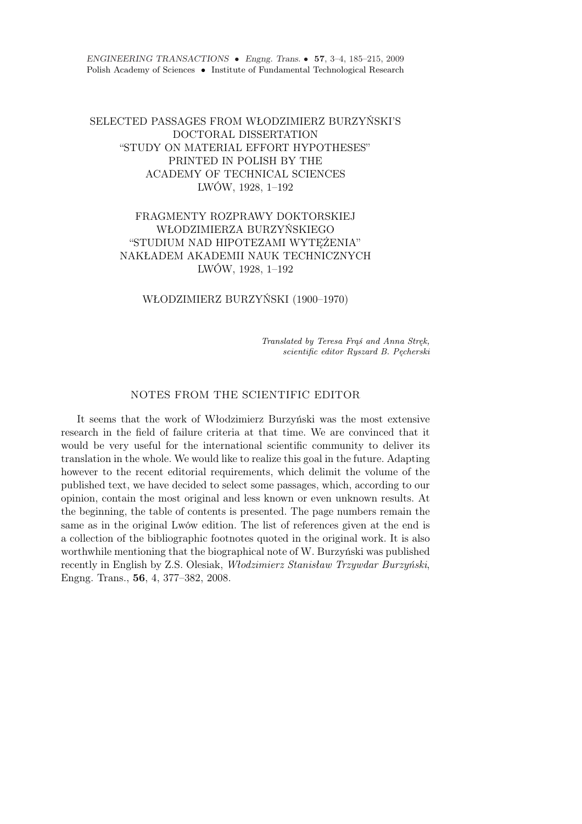ENGINEERING TRANSACTIONS • Engng. Trans. • 57, 3–4, 185–215, 2009 Polish Academy of Sciences • Institute of Fundamental Technological Research

# SELECTED PASSAGES FROM WŁODZIMIERZ BURZYŃSKI'S DOCTORAL DISSERTATION "STUDY ON MATERIAL EFFORT HYPOTHESES" PRINTED IN POLISH BY THE ACADEMY OF TECHNICAL SCIENCES LWÓW, 1928, 1–192

# FRAGMENTY ROZPRAWY DOKTORSKIEJ WŁODZIMIERZA BURZYŃSKIEGO "STUDIUM NAD HIPOTEZAMI WYTĘŻENIA" NAKŁADEM AKADEMII NAUK TECHNICZNYCH LWÓW, 1928, 1–192

WŁODZIMIERZ BURZYŃSKI (1900–1970)

Translated by Teresa Frąś and Anna Stręk, scientific editor Ryszard B. Pęcherski

#### NOTES FROM THE SCIENTIFIC EDITOR

It seems that the work of Włodzimierz Burzyński was the most extensive research in the field of failure criteria at that time. We are convinced that it would be very useful for the international scientific community to deliver its translation in the whole. We would like to realize this goal in the future. Adapting however to the recent editorial requirements, which delimit the volume of the published text, we have decided to select some passages, which, according to our opinion, contain the most original and less known or even unknown results. At the beginning, the table of contents is presented. The page numbers remain the same as in the original Lwów edition. The list of references given at the end is a collection of the bibliographic footnotes quoted in the original work. It is also worthwhile mentioning that the biographical note of W. Burzyński was published recently in English by Z.S. Olesiak, Włodzimierz Stanisław Trzywdar Burzyński, Engng. Trans., 56, 4, 377–382, 2008.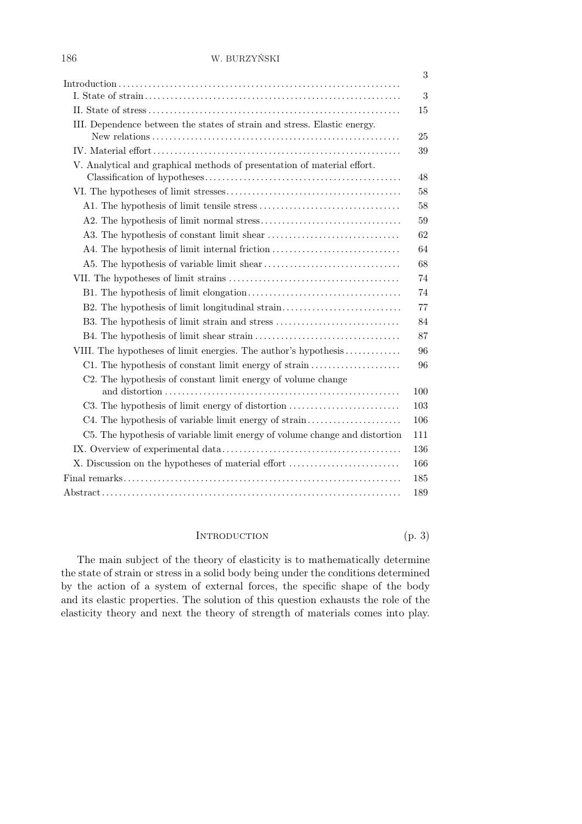#### 186 W. BURZYŃSKI

|                                                                             | 3   |
|-----------------------------------------------------------------------------|-----|
|                                                                             | 3   |
|                                                                             | 15  |
| III. Dependence between the states of strain and stress. Elastic energy.    |     |
|                                                                             | 25  |
|                                                                             | 39  |
| V. Analytical and graphical methods of presentation of material effort.     | 48  |
|                                                                             | 58  |
|                                                                             | 58  |
|                                                                             | 59  |
|                                                                             | 62  |
| A4. The hypothesis of limit internal friction                               | 64  |
|                                                                             | 68  |
|                                                                             | 74  |
|                                                                             | 74  |
| B2. The hypothesis of limit longitudinal strain                             | 77  |
| B3. The hypothesis of limit strain and stress                               | 84  |
|                                                                             | 87  |
| VIII. The hypotheses of limit energies. The author's hypothesis             | 96  |
| C1. The hypothesis of constant limit energy of strain                       | 96  |
| C2. The hypothesis of constant limit energy of volume change                |     |
|                                                                             | 100 |
| C3. The hypothesis of limit energy of distortion                            | 103 |
| C4. The hypothesis of variable limit energy of strain                       | 106 |
| C5. The hypothesis of variable limit energy of volume change and distortion | 111 |
|                                                                             | 136 |
| X. Discussion on the hypotheses of material effort                          | 166 |
|                                                                             | 185 |
|                                                                             | 189 |

# INTRODUCTION  $(p, 3)$

The main subject of the theory of elasticity is to mathematically determine the state of strain or stress in a solid body being under the conditions determined by the action of a system of external forces, the specific shape of the body and its elastic properties. The solution of this question exhausts the role of the elasticity theory and next the theory of strength of materials comes into play.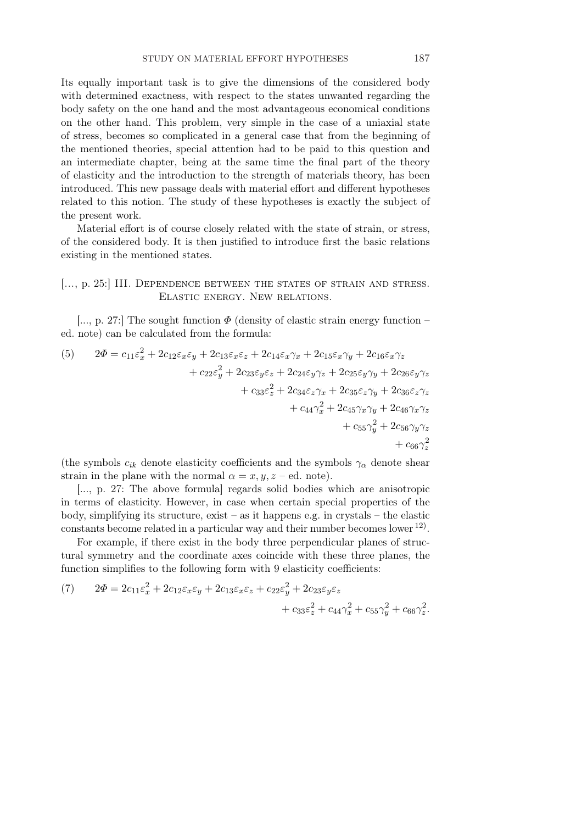Its equally important task is to give the dimensions of the considered body with determined exactness, with respect to the states unwanted regarding the body safety on the one hand and the most advantageous economical conditions on the other hand. This problem, very simple in the case of a uniaxial state of stress, becomes so complicated in a general case that from the beginning of the mentioned theories, special attention had to be paid to this question and an intermediate chapter, being at the same time the final part of the theory of elasticity and the introduction to the strength of materials theory, has been introduced. This new passage deals with material effort and different hypotheses related to this notion. The study of these hypotheses is exactly the subject of the present work.

Material effort is of course closely related with the state of strain, or stress, of the considered body. It is then justified to introduce first the basic relations existing in the mentioned states.

### [..., p. 25:] III. Dependence between the states of strain and stress. Elastic energy. New relations.

[..., p. 27:] The sought function  $\Phi$  (density of elastic strain energy function – ed. note) can be calculated from the formula:

(5) 
$$
2\Phi = c_{11}\varepsilon_x^2 + 2c_{12}\varepsilon_x\varepsilon_y + 2c_{13}\varepsilon_x\varepsilon_z + 2c_{14}\varepsilon_x\gamma_x + 2c_{15}\varepsilon_x\gamma_y + 2c_{16}\varepsilon_x\gamma_z + c_{22}\varepsilon_y^2 + 2c_{23}\varepsilon_y\varepsilon_z + 2c_{24}\varepsilon_y\gamma_z + 2c_{25}\varepsilon_y\gamma_y + 2c_{26}\varepsilon_y\gamma_z + c_{33}\varepsilon_z^2 + 2c_{34}\varepsilon_z\gamma_x + 2c_{35}\varepsilon_z\gamma_y + 2c_{36}\varepsilon_z\gamma_z + c_{44}\gamma_x^2 + 2c_{45}\gamma_x\gamma_y + 2c_{46}\gamma_x\gamma_z + c_{55}\gamma_y^2 + 2c_{56}\gamma_y\gamma_z + c_{66}\gamma_z^2
$$

(the symbols  $c_{ik}$  denote elasticity coefficients and the symbols  $\gamma_\alpha$  denote shear strain in the plane with the normal  $\alpha = x, y, z$  – ed. note).

[..., p. 27: The above formula] regards solid bodies which are anisotropic in terms of elasticity. However, in case when certain special properties of the body, simplifying its structure, exist – as it happens e.g. in crystals – the elastic constants become related in a particular way and their number becomes lower  $^{12}$ .

For example, if there exist in the body three perpendicular planes of structural symmetry and the coordinate axes coincide with these three planes, the function simplifies to the following form with 9 elasticity coefficients:

(7) 
$$
2\Phi = 2c_{11}\varepsilon_x^2 + 2c_{12}\varepsilon_x\varepsilon_y + 2c_{13}\varepsilon_x\varepsilon_z + c_{22}\varepsilon_y^2 + 2c_{23}\varepsilon_y\varepsilon_z + c_{33}\varepsilon_z^2 + c_{44}\gamma_x^2 + c_{55}\gamma_y^2 + c_{66}\gamma_z^2.
$$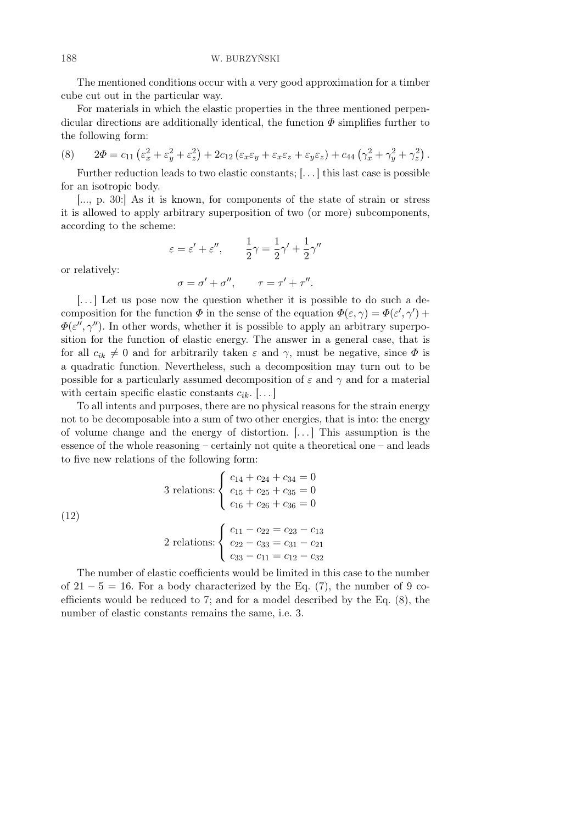The mentioned conditions occur with a very good approximation for a timber cube cut out in the particular way.

For materials in which the elastic properties in the three mentioned perpendicular directions are additionally identical, the function  $\Phi$  simplifies further to the following form:

(8) 
$$
2\Phi = c_{11} \left( \varepsilon_x^2 + \varepsilon_y^2 + \varepsilon_z^2 \right) + 2c_{12} \left( \varepsilon_x \varepsilon_y + \varepsilon_x \varepsilon_z + \varepsilon_y \varepsilon_z \right) + c_{44} \left( \gamma_x^2 + \gamma_y^2 + \gamma_z^2 \right).
$$

Further reduction leads to two elastic constants; [. . . ] this last case is possible for an isotropic body.

[..., p. 30:] As it is known, for components of the state of strain or stress it is allowed to apply arbitrary superposition of two (or more) subcomponents, according to the scheme:

$$
\varepsilon = \varepsilon' + \varepsilon'', \qquad \frac{1}{2}\gamma = \frac{1}{2}\gamma' + \frac{1}{2}\gamma''
$$

or relatively:

$$
\sigma = \sigma' + \sigma'', \qquad \tau = \tau' + \tau''.
$$

[. . . ] Let us pose now the question whether it is possible to do such a decomposition for the function  $\Phi$  in the sense of the equation  $\Phi(\varepsilon, \gamma) = \Phi(\varepsilon', \gamma')$  +  $\Phi(\varepsilon'', \gamma'')$ . In other words, whether it is possible to apply an arbitrary superposition for the function of elastic energy. The answer in a general case, that is for all  $c_{ik} \neq 0$  and for arbitrarily taken  $\varepsilon$  and  $\gamma$ , must be negative, since  $\Phi$  is a quadratic function. Nevertheless, such a decomposition may turn out to be possible for a particularly assumed decomposition of  $\varepsilon$  and  $\gamma$  and for a material with certain specific elastic constants  $c_{ik}$ .  $\ldots$ 

To all intents and purposes, there are no physical reasons for the strain energy not to be decomposable into a sum of two other energies, that is into: the energy of volume change and the energy of distortion. [. . . ] This assumption is the essence of the whole reasoning – certainly not quite a theoretical one – and leads to five new relations of the following form:

(12)  
\n
$$
3 \text{ relations:} \begin{cases}\nc_{14} + c_{24} + c_{34} = 0 \\
c_{15} + c_{25} + c_{35} = 0 \\
c_{16} + c_{26} + c_{36} = 0\n\end{cases}
$$
\n
$$
2 \text{ relations:} \begin{cases}\nc_{11} - c_{22} = c_{23} - c_{13} \\
c_{22} - c_{33} = c_{31} - c_{21} \\
c_{33} - c_{11} = c_{12} - c_{32}\n\end{cases}
$$

The number of elastic coefficients would be limited in this case to the number of  $21 - 5 = 16$ . For a body characterized by the Eq. (7), the number of 9 coefficients would be reduced to 7; and for a model described by the Eq. (8), the number of elastic constants remains the same, i.e. 3.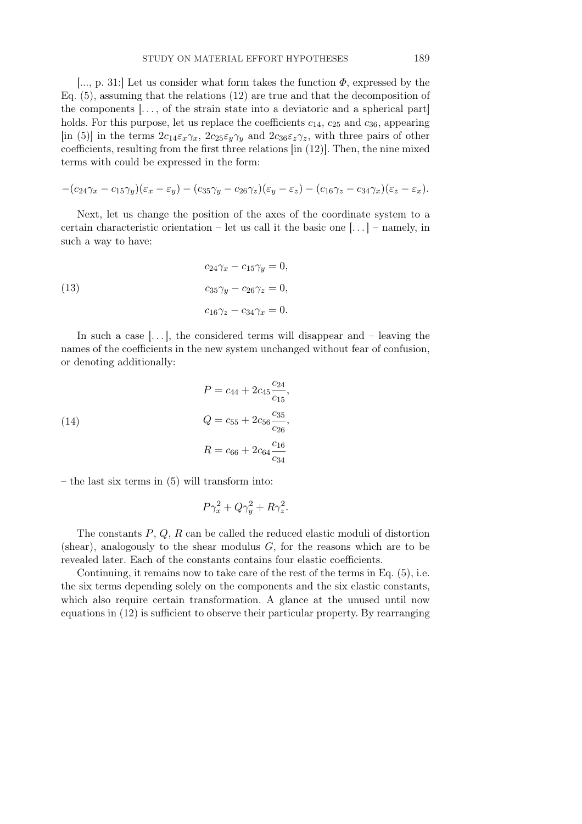[..., p. 31:] Let us consider what form takes the function  $\Phi$ , expressed by the Eq. (5), assuming that the relations (12) are true and that the decomposition of the components  $\ldots$ , of the strain state into a deviatoric and a spherical part holds. For this purpose, let us replace the coefficients  $c_{14}$ ,  $c_{25}$  and  $c_{36}$ , appearing [in (5)] in the terms  $2c_{14}\varepsilon_x\gamma_x$ ,  $2c_{25}\varepsilon_y\gamma_y$  and  $2c_{36}\varepsilon_z\gamma_z$ , with three pairs of other coefficients, resulting from the first three relations [in (12)]. Then, the nine mixed terms with could be expressed in the form:

$$
-(c_{24}\gamma_x-c_{15}\gamma_y)(\varepsilon_x-\varepsilon_y)-(c_{35}\gamma_y-c_{26}\gamma_z)(\varepsilon_y-\varepsilon_z)-(c_{16}\gamma_z-c_{34}\gamma_x)(\varepsilon_z-\varepsilon_x).
$$

Next, let us change the position of the axes of the coordinate system to a certain characteristic orientation – let us call it the basic one  $\left| \ldots \right|$  – namely, in such a way to have:

(13) 
$$
c_{24}\gamma_x - c_{15}\gamma_y = 0,
$$

$$
c_{35}\gamma_y - c_{26}\gamma_z = 0,
$$

$$
c_{16}\gamma_z - c_{34}\gamma_x = 0.
$$

In such a case  $\left| \ldots \right|$ , the considered terms will disappear and – leaving the names of the coefficients in the new system unchanged without fear of confusion, or denoting additionally:

(14) 
$$
P = c_{44} + 2c_{45} \frac{c_{24}}{c_{15}},
$$

$$
Q = c_{55} + 2c_{56} \frac{c_{35}}{c_{26}},
$$

$$
R = c_{66} + 2c_{64} \frac{c_{16}}{c_{34}}
$$

– the last six terms in (5) will transform into:

$$
P\gamma_x^2 + Q\gamma_y^2 + R\gamma_z^2.
$$

The constants  $P, Q, R$  can be called the reduced elastic moduli of distortion (shear), analogously to the shear modulus  $G$ , for the reasons which are to be revealed later. Each of the constants contains four elastic coefficients.

Continuing, it remains now to take care of the rest of the terms in Eq. (5), i.e. the six terms depending solely on the components and the six elastic constants, which also require certain transformation. A glance at the unused until now equations in (12) is sufficient to observe their particular property. By rearranging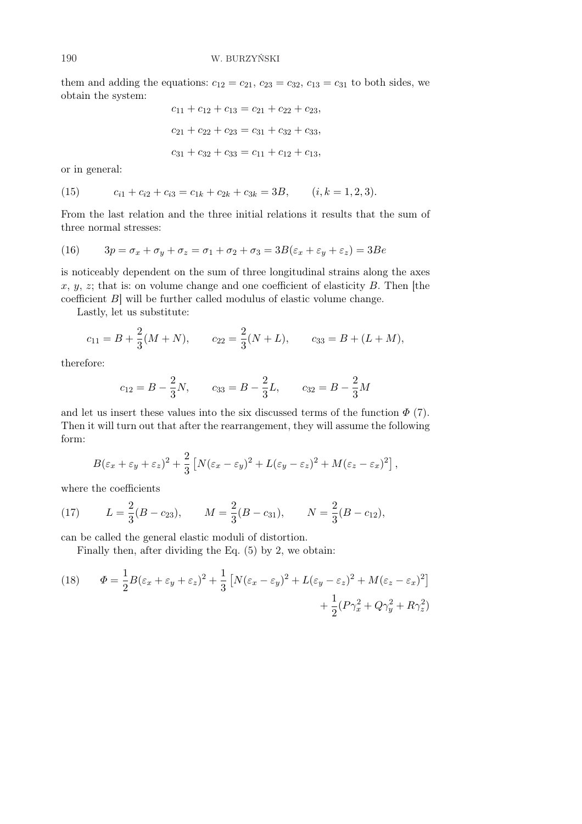them and adding the equations:  $c_{12} = c_{21}, c_{23} = c_{32}, c_{13} = c_{31}$  to both sides, we obtain the system:

$$
c_{11} + c_{12} + c_{13} = c_{21} + c_{22} + c_{23},
$$
  
\n
$$
c_{21} + c_{22} + c_{23} = c_{31} + c_{32} + c_{33},
$$
  
\n
$$
c_{31} + c_{32} + c_{33} = c_{11} + c_{12} + c_{13},
$$

or in general:

(15) 
$$
c_{i1} + c_{i2} + c_{i3} = c_{1k} + c_{2k} + c_{3k} = 3B, \qquad (i, k = 1, 2, 3).
$$

From the last relation and the three initial relations it results that the sum of three normal stresses:

(16) 
$$
3p = \sigma_x + \sigma_y + \sigma_z = \sigma_1 + \sigma_2 + \sigma_3 = 3B(\varepsilon_x + \varepsilon_y + \varepsilon_z) = 3Be
$$

is noticeably dependent on the sum of three longitudinal strains along the axes  $x, y, z$ ; that is: on volume change and one coefficient of elasticity B. Then [the coefficient B] will be further called modulus of elastic volume change.

Lastly, let us substitute:

$$
c_{11} = B + \frac{2}{3}(M+N)
$$
,  $c_{22} = \frac{2}{3}(N+L)$ ,  $c_{33} = B + (L+M)$ ,

therefore:

$$
c_{12} = B - \frac{2}{3}N
$$
,  $c_{33} = B - \frac{2}{3}L$ ,  $c_{32} = B - \frac{2}{3}M$ 

and let us insert these values into the six discussed terms of the function  $\Phi$  (7). Then it will turn out that after the rearrangement, they will assume the following form:

$$
B(\varepsilon_x + \varepsilon_y + \varepsilon_z)^2 + \frac{2}{3} \left[ N(\varepsilon_x - \varepsilon_y)^2 + L(\varepsilon_y - \varepsilon_z)^2 + M(\varepsilon_z - \varepsilon_x)^2 \right],
$$

where the coefficients

(17) 
$$
L = \frac{2}{3}(B - c_{23}), \qquad M = \frac{2}{3}(B - c_{31}), \qquad N = \frac{2}{3}(B - c_{12}),
$$

can be called the general elastic moduli of distortion.

Finally then, after dividing the Eq. (5) by 2, we obtain:

(18) 
$$
\Phi = \frac{1}{2}B(\varepsilon_x + \varepsilon_y + \varepsilon_z)^2 + \frac{1}{3}\left[N(\varepsilon_x - \varepsilon_y)^2 + L(\varepsilon_y - \varepsilon_z)^2 + M(\varepsilon_z - \varepsilon_x)^2\right] + \frac{1}{2}(P\gamma_x^2 + Q\gamma_y^2 + R\gamma_z^2)
$$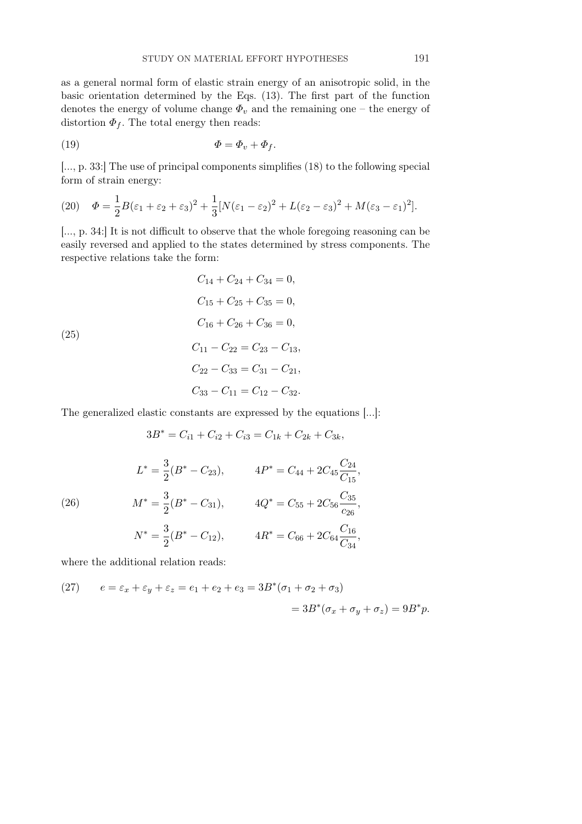as a general normal form of elastic strain energy of an anisotropic solid, in the basic orientation determined by the Eqs. (13). The first part of the function denotes the energy of volume change  $\Phi_v$  and the remaining one – the energy of distortion  $\Phi_f$ . The total energy then reads:

$$
\Phi = \Phi_v + \Phi_f.
$$

[..., p. 33:] The use of principal components simplifies (18) to the following special form of strain energy:

(20) 
$$
\Phi = \frac{1}{2}B(\varepsilon_1 + \varepsilon_2 + \varepsilon_3)^2 + \frac{1}{3}[N(\varepsilon_1 - \varepsilon_2)^2 + L(\varepsilon_2 - \varepsilon_3)^2 + M(\varepsilon_3 - \varepsilon_1)^2].
$$

[..., p. 34:] It is not difficult to observe that the whole foregoing reasoning can be easily reversed and applied to the states determined by stress components. The respective relations take the form:

(25)  
\n
$$
C_{14} + C_{24} + C_{34} = 0,
$$
\n
$$
C_{15} + C_{25} + C_{35} = 0,
$$
\n
$$
C_{16} + C_{26} + C_{36} = 0,
$$
\n
$$
C_{11} - C_{22} = C_{23} - C_{13},
$$
\n
$$
C_{22} - C_{33} = C_{31} - C_{21},
$$
\n
$$
C_{33} - C_{11} = C_{12} - C_{32}.
$$

The generalized elastic constants are expressed by the equations [...]:

$$
3B^* = C_{i1} + C_{i2} + C_{i3} = C_{1k} + C_{2k} + C_{3k},
$$

(26) 
$$
L^* = \frac{3}{2}(B^* - C_{23}), \qquad 4P^* = C_{44} + 2C_{45}\frac{C_{24}}{C_{15}},
$$

$$
M^* = \frac{3}{2}(B^* - C_{31}), \qquad 4Q^* = C_{55} + 2C_{56}\frac{C_{35}}{c_{26}},
$$

$$
N^* = \frac{3}{2}(B^* - C_{12}), \qquad 4R^* = C_{66} + 2C_{64}\frac{C_{16}}{C_{34}},
$$

where the additional relation reads:

(27) 
$$
e = \varepsilon_x + \varepsilon_y + \varepsilon_z = e_1 + e_2 + e_3 = 3B^*(\sigma_1 + \sigma_2 + \sigma_3)
$$

$$
= 3B^*(\sigma_x + \sigma_y + \sigma_z) = 9B^*p.
$$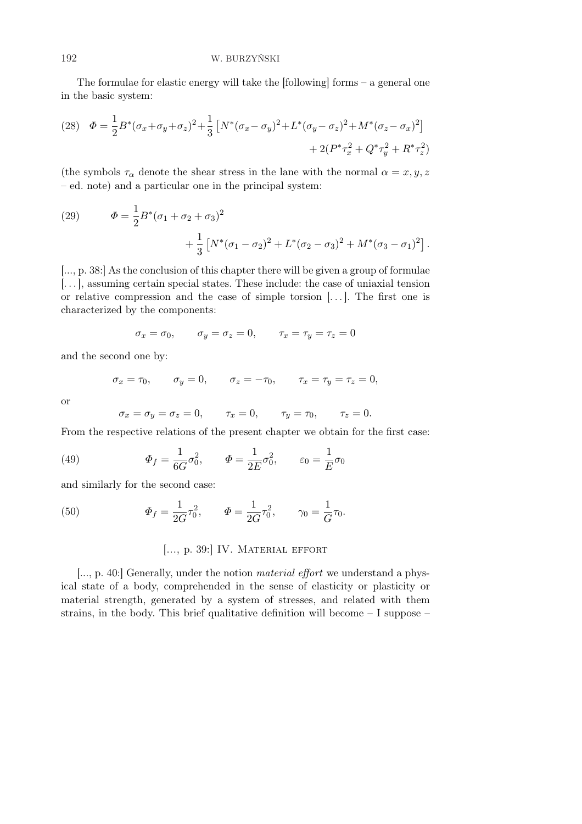The formulae for elastic energy will take the  $[following]$  forms – a general one in the basic system:

(28) 
$$
\Phi = \frac{1}{2}B^*(\sigma_x + \sigma_y + \sigma_z)^2 + \frac{1}{3}\left[N^*(\sigma_x - \sigma_y)^2 + L^*(\sigma_y - \sigma_z)^2 + M^*(\sigma_z - \sigma_x)^2\right] + 2(P^*\tau_x^2 + Q^*\tau_y^2 + R^*\tau_z^2)
$$

(the symbols  $\tau_{\alpha}$  denote the shear stress in the lane with the normal  $\alpha = x, y, z$ – ed. note) and a particular one in the principal system:

(29) 
$$
\Phi = \frac{1}{2}B^*(\sigma_1 + \sigma_2 + \sigma_3)^2 + \frac{1}{3}\left[N^*(\sigma_1 - \sigma_2)^2 + L^*(\sigma_2 - \sigma_3)^2 + M^*(\sigma_3 - \sigma_1)^2\right].
$$

[..., p. 38:] As the conclusion of this chapter there will be given a group of formulae [. . . ], assuming certain special states. These include: the case of uniaxial tension or relative compression and the case of simple torsion [. . . ]. The first one is characterized by the components:

$$
\sigma_x = \sigma_0, \qquad \sigma_y = \sigma_z = 0, \qquad \tau_x = \tau_y = \tau_z = 0
$$

and the second one by:

$$
\sigma_x = \tau_0, \qquad \sigma_y = 0, \qquad \sigma_z = -\tau_0, \qquad \tau_x = \tau_y = \tau_z = 0,
$$

or

$$
\sigma_x = \sigma_y = \sigma_z = 0, \qquad \tau_x = 0, \qquad \tau_y = \tau_0, \qquad \tau_z = 0.
$$

From the respective relations of the present chapter we obtain for the first case:

(49) 
$$
\Phi_f = \frac{1}{6G} \sigma_0^2, \qquad \Phi = \frac{1}{2E} \sigma_0^2, \qquad \varepsilon_0 = \frac{1}{E} \sigma_0
$$

and similarly for the second case:

(50) 
$$
\Phi_f = \frac{1}{2G}\tau_0^2, \qquad \Phi = \frac{1}{2G}\tau_0^2, \qquad \gamma_0 = \frac{1}{G}\tau_0.
$$

#### [..., p. 39:] IV. MATERIAL EFFORT

[..., p. 40:] Generally, under the notion material effort we understand a physical state of a body, comprehended in the sense of elasticity or plasticity or material strength, generated by a system of stresses, and related with them strains, in the body. This brief qualitative definition will become  $-1$  suppose  $-$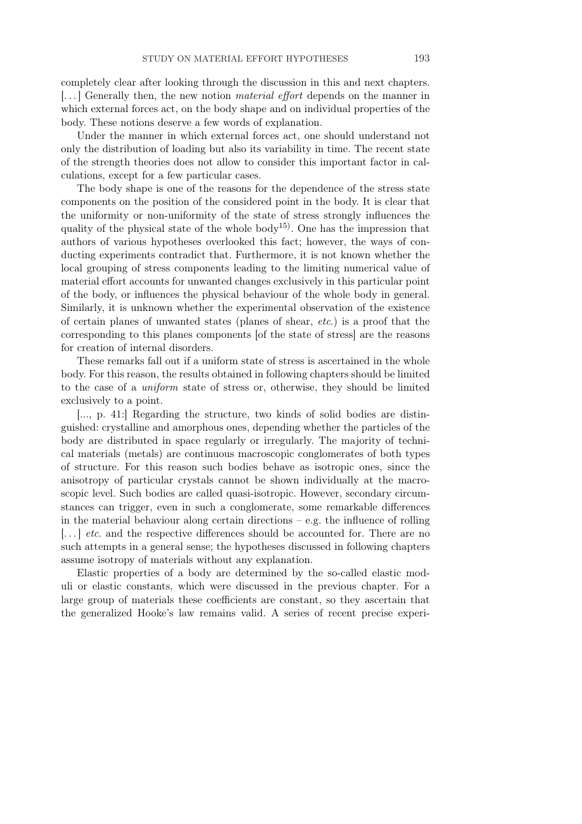completely clear after looking through the discussion in this and next chapters.  $\left[\ldots\right]$  Generally then, the new notion *material effort* depends on the manner in which external forces act, on the body shape and on individual properties of the body. These notions deserve a few words of explanation.

Under the manner in which external forces act, one should understand not only the distribution of loading but also its variability in time. The recent state of the strength theories does not allow to consider this important factor in calculations, except for a few particular cases.

The body shape is one of the reasons for the dependence of the stress state components on the position of the considered point in the body. It is clear that the uniformity or non-uniformity of the state of stress strongly influences the quality of the physical state of the whole body<sup>15)</sup>. One has the impression that authors of various hypotheses overlooked this fact; however, the ways of conducting experiments contradict that. Furthermore, it is not known whether the local grouping of stress components leading to the limiting numerical value of material effort accounts for unwanted changes exclusively in this particular point of the body, or influences the physical behaviour of the whole body in general. Similarly, it is unknown whether the experimental observation of the existence of certain planes of unwanted states (planes of shear, etc.) is a proof that the corresponding to this planes components [of the state of stress] are the reasons for creation of internal disorders.

These remarks fall out if a uniform state of stress is ascertained in the whole body. For this reason, the results obtained in following chapters should be limited to the case of a uniform state of stress or, otherwise, they should be limited exclusively to a point.

[..., p. 41:] Regarding the structure, two kinds of solid bodies are distinguished: crystalline and amorphous ones, depending whether the particles of the body are distributed in space regularly or irregularly. The majority of technical materials (metals) are continuous macroscopic conglomerates of both types of structure. For this reason such bodies behave as isotropic ones, since the anisotropy of particular crystals cannot be shown individually at the macroscopic level. Such bodies are called quasi-isotropic. However, secondary circumstances can trigger, even in such a conglomerate, some remarkable differences in the material behaviour along certain directions  $-e.g.$  the influence of rolling  $\left[\ldots\right]$  etc. and the respective differences should be accounted for. There are no such attempts in a general sense; the hypotheses discussed in following chapters assume isotropy of materials without any explanation.

Elastic properties of a body are determined by the so-called elastic moduli or elastic constants, which were discussed in the previous chapter. For a large group of materials these coefficients are constant, so they ascertain that the generalized Hooke's law remains valid. A series of recent precise experi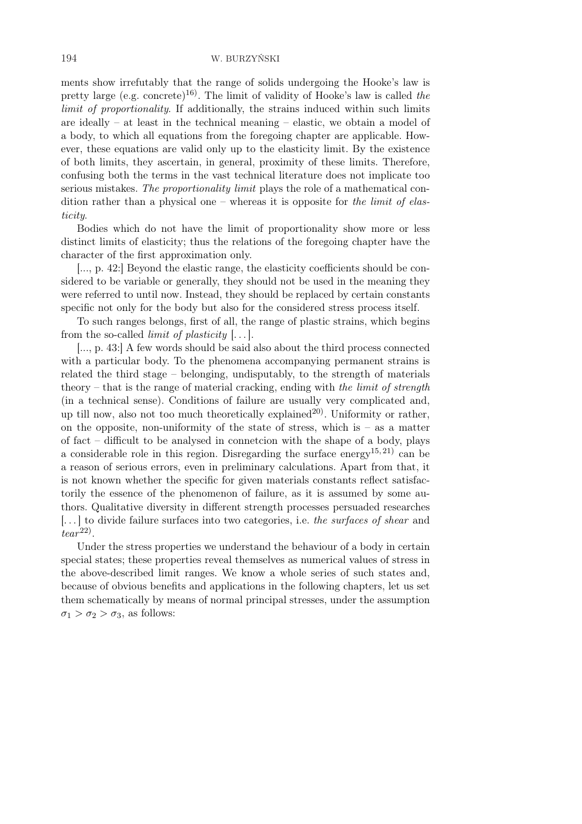ments show irrefutably that the range of solids undergoing the Hooke's law is pretty large (e.g. concrete)<sup>16)</sup>. The limit of validity of Hooke's law is called the limit of proportionality. If additionally, the strains induced within such limits are ideally – at least in the technical meaning – elastic, we obtain a model of a body, to which all equations from the foregoing chapter are applicable. However, these equations are valid only up to the elasticity limit. By the existence of both limits, they ascertain, in general, proximity of these limits. Therefore, confusing both the terms in the vast technical literature does not implicate too serious mistakes. The proportionality limit plays the role of a mathematical condition rather than a physical one – whereas it is opposite for the limit of elasticity.

Bodies which do not have the limit of proportionality show more or less distinct limits of elasticity; thus the relations of the foregoing chapter have the character of the first approximation only.

[..., p. 42:] Beyond the elastic range, the elasticity coefficients should be considered to be variable or generally, they should not be used in the meaning they were referred to until now. Instead, they should be replaced by certain constants specific not only for the body but also for the considered stress process itself.

To such ranges belongs, first of all, the range of plastic strains, which begins from the so-called *limit of plasticity*  $[\dots]$ .

[..., p. 43:] A few words should be said also about the third process connected with a particular body. To the phenomena accompanying permanent strains is related the third stage – belonging, undisputably, to the strength of materials theory – that is the range of material cracking, ending with the limit of strength (in a technical sense). Conditions of failure are usually very complicated and, up till now, also not too much theoretically explained<sup>20)</sup>. Uniformity or rather, on the opposite, non-uniformity of the state of stress, which is – as a matter of fact – difficult to be analysed in connetcion with the shape of a body, plays a considerable role in this region. Disregarding the surface energy<sup>15, 21</sup> can be a reason of serious errors, even in preliminary calculations. Apart from that, it is not known whether the specific for given materials constants reflect satisfactorily the essence of the phenomenon of failure, as it is assumed by some authors. Qualitative diversity in different strength processes persuaded researches [. . . ] to divide failure surfaces into two categories, i.e. the surfaces of shear and  $tear<sup>22</sup>$ .

Under the stress properties we understand the behaviour of a body in certain special states; these properties reveal themselves as numerical values of stress in the above-described limit ranges. We know a whole series of such states and, because of obvious benefits and applications in the following chapters, let us set them schematically by means of normal principal stresses, under the assumption  $\sigma_1 > \sigma_2 > \sigma_3$ , as follows: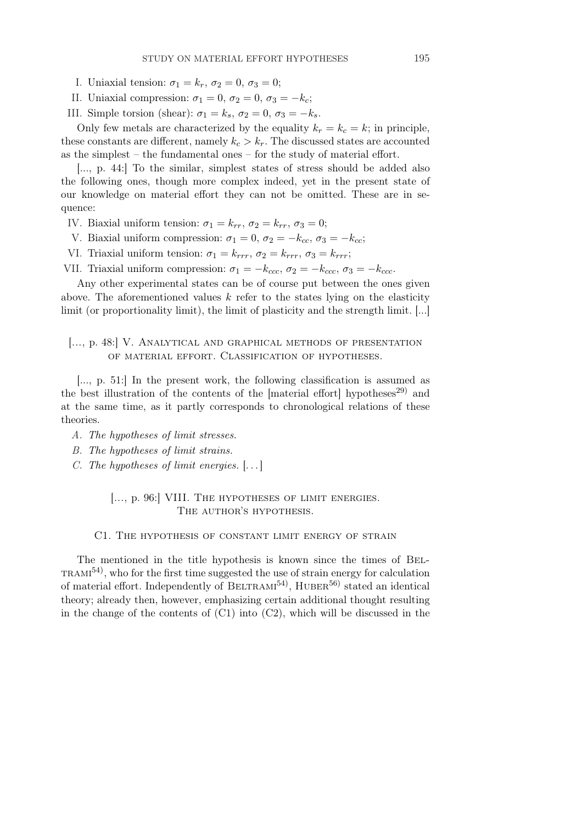- I. Uniaxial tension:  $\sigma_1 = k_r$ ,  $\sigma_2 = 0$ ,  $\sigma_3 = 0$ ;
- II. Uniaxial compression:  $\sigma_1 = 0$ ,  $\sigma_2 = 0$ ,  $\sigma_3 = -k_c$ ;
- III. Simple torsion (shear):  $\sigma_1 = k_s$ ,  $\sigma_2 = 0$ ,  $\sigma_3 = -k_s$ .

Only few metals are characterized by the equality  $k_r = k_c = k$ ; in principle, these constants are different, namely  $k_c > k_r$ . The discussed states are accounted as the simplest – the fundamental ones – for the study of material effort.

[..., p. 44:] To the similar, simplest states of stress should be added also the following ones, though more complex indeed, yet in the present state of our knowledge on material effort they can not be omitted. These are in sequence:

- IV. Biaxial uniform tension:  $\sigma_1 = k_{rr}$ ,  $\sigma_2 = k_{rr}$ ,  $\sigma_3 = 0$ ;
- V. Biaxial uniform compression:  $\sigma_1 = 0$ ,  $\sigma_2 = -k_{cc}$ ,  $\sigma_3 = -k_{cc}$ ;
- VI. Triaxial uniform tension:  $\sigma_1 = k_{rrr}, \sigma_2 = k_{rrr}, \sigma_3 = k_{rrr};$
- VII. Triaxial uniform compression:  $\sigma_1 = -k_{ccc}$ ,  $\sigma_2 = -k_{ccc}$ ,  $\sigma_3 = -k_{ccc}$ .

Any other experimental states can be of course put between the ones given above. The aforementioned values  $k$  refer to the states lying on the elasticity limit (or proportionality limit), the limit of plasticity and the strength limit. [...]

## [..., p. 48:] V. Analytical and graphical methods of presentation of material effort. Classification of hypotheses.

[..., p. 51:] In the present work, the following classification is assumed as the best illustration of the contents of the [material effort] hypotheses<sup>29)</sup> and at the same time, as it partly corresponds to chronological relations of these theories.

- A. The hypotheses of limit stresses.
- B. The hypotheses of limit strains.
- C. The hypotheses of limit energies. [. . . ]

### [..., p. 96:] VIII. The hypotheses of limit energies. THE AUTHOR'S HYPOTHESIS.

#### C1. The hypothesis of constant limit energy of strain

The mentioned in the title hypothesis is known since the times of Bel- $T_{\rm RAMI}^{54}$ , who for the first time suggested the use of strain energy for calculation of material effort. Independently of BELTRAMI<sup>54</sup>, HUBER<sup>56)</sup> stated an identical theory; already then, however, emphasizing certain additional thought resulting in the change of the contents of  $(C1)$  into  $(C2)$ , which will be discussed in the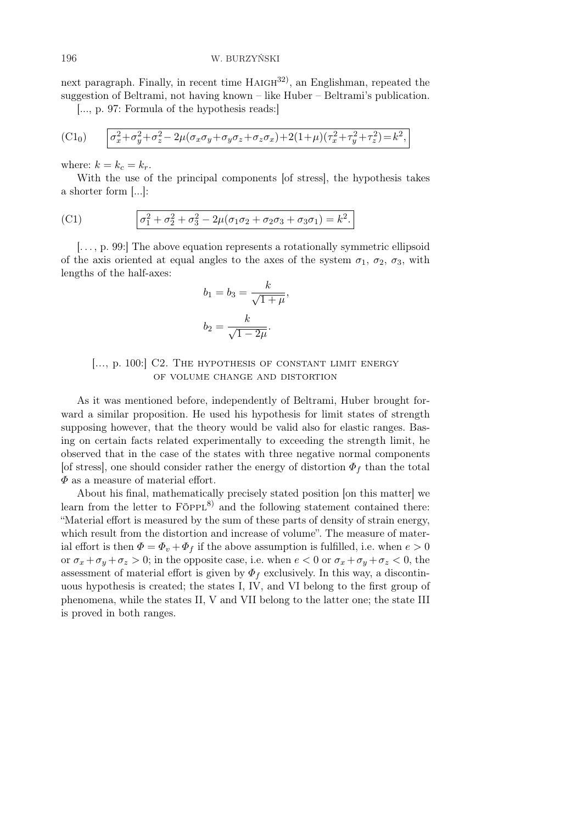next paragraph. Finally, in recent time  $HAIGH^{32}$ , an Englishman, repeated the suggestion of Beltrami, not having known – like Huber – Beltrami's publication.

[..., p. 97: Formula of the hypothesis reads:]

(C1<sub>0</sub>) 
$$
\sigma_x^2 + \sigma_y^2 + \sigma_z^2 - 2\mu(\sigma_x \sigma_y + \sigma_y \sigma_z + \sigma_z \sigma_x) + 2(1+\mu)(\tau_x^2 + \tau_y^2 + \tau_z^2) = k^2,
$$

where:  $k = k_c = k_r$ .

With the use of the principal components [of stress], the hypothesis takes a shorter form [...]:

(C1) 
$$
\sigma_1^2 + \sigma_2^2 + \sigma_3^2 - 2\mu(\sigma_1\sigma_2 + \sigma_2\sigma_3 + \sigma_3\sigma_1) = k^2.
$$

[. . . , p. 99:] The above equation represents a rotationally symmetric ellipsoid of the axis oriented at equal angles to the axes of the system  $\sigma_1$ ,  $\sigma_2$ ,  $\sigma_3$ , with lengths of the half-axes:

$$
b_1 = b_3 = \frac{k}{\sqrt{1 + \mu}},
$$
  

$$
b_2 = \frac{k}{\sqrt{1 - 2\mu}}.
$$

### [..., p. 100:] C2. THE HYPOTHESIS OF CONSTANT LIMIT ENERGY of volume change and distortion

As it was mentioned before, independently of Beltrami, Huber brought forward a similar proposition. He used his hypothesis for limit states of strength supposing however, that the theory would be valid also for elastic ranges. Basing on certain facts related experimentally to exceeding the strength limit, he observed that in the case of the states with three negative normal components [of stress], one should consider rather the energy of distortion  $\Phi_f$  than the total  $\Phi$  as a measure of material effort.

About his final, mathematically precisely stated position [on this matter] we learn from the letter to  $F\ddot{\circ}PPL^{8}$  and the following statement contained there: "Material effort is measured by the sum of these parts of density of strain energy, which result from the distortion and increase of volume". The measure of material effort is then  $\Phi = \Phi_v + \Phi_f$  if the above assumption is fulfilled, i.e. when  $e > 0$ or  $\sigma_x + \sigma_y + \sigma_z > 0$ ; in the opposite case, i.e. when  $e < 0$  or  $\sigma_x + \sigma_y + \sigma_z < 0$ , the assessment of material effort is given by  $\Phi_f$  exclusively. In this way, a discontinuous hypothesis is created; the states I, IV, and VI belong to the first group of phenomena, while the states II, V and VII belong to the latter one; the state III is proved in both ranges.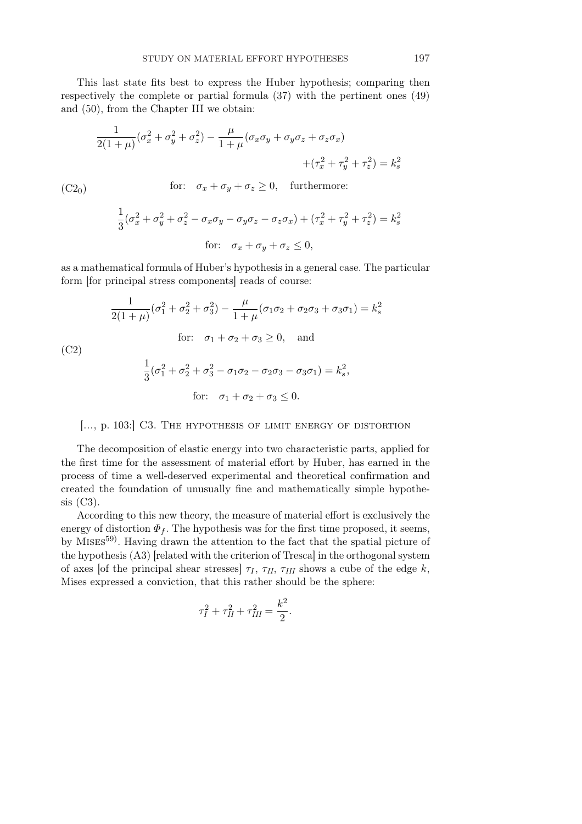This last state fits best to express the Huber hypothesis; comparing then respectively the complete or partial formula (37) with the pertinent ones (49) and (50), from the Chapter III we obtain:

$$
\frac{1}{2(1+\mu)}(\sigma_x^2 + \sigma_y^2 + \sigma_z^2) - \frac{\mu}{1+\mu}(\sigma_x \sigma_y + \sigma_y \sigma_z + \sigma_z \sigma_x)
$$

$$
+(\tau_x^2 + \tau_y^2 + \tau_z^2) = k_s^2
$$
  
(C2<sub>0</sub>) for:  $\sigma_x + \sigma_y + \sigma_z \ge 0$ , furthermore:

$$
\frac{1}{3}(\sigma_x^2 + \sigma_y^2 + \sigma_z^2 - \sigma_x \sigma_y - \sigma_y \sigma_z - \sigma_z \sigma_x) + (\tau_x^2 + \tau_y^2 + \tau_z^2) = k_s^2
$$
  
for:  $\sigma_x + \sigma_y + \sigma_z \le 0$ ,

as a mathematical formula of Huber's hypothesis in a general case. The particular form [for principal stress components] reads of course:

(C2)  
\n
$$
\frac{1}{2(1+\mu)}(\sigma_1^2 + \sigma_2^2 + \sigma_3^2) - \frac{\mu}{1+\mu}(\sigma_1\sigma_2 + \sigma_2\sigma_3 + \sigma_3\sigma_1) = k_s^2
$$
\nfor:  $\sigma_1 + \sigma_2 + \sigma_3 \ge 0$ , and  
\n
$$
\frac{1}{3}(\sigma_1^2 + \sigma_2^2 + \sigma_3^2 - \sigma_1\sigma_2 - \sigma_2\sigma_3 - \sigma_3\sigma_1) = k_s^2,
$$
\nfor:  $\sigma_1 + \sigma_2 + \sigma_3 \le 0$ .

[..., p. 103:] C3. The hypothesis of limit energy of distortion

The decomposition of elastic energy into two characteristic parts, applied for the first time for the assessment of material effort by Huber, has earned in the process of time a well-deserved experimental and theoretical confirmation and created the foundation of unusually fine and mathematically simple hypothesis (C3).

According to this new theory, the measure of material effort is exclusively the energy of distortion  $\Phi_f$ . The hypothesis was for the first time proposed, it seems, by MISES<sup>59</sup>. Having drawn the attention to the fact that the spatial picture of the hypothesis (A3) [related with the criterion of Tresca] in the orthogonal system of axes [of the principal shear stresses]  $\tau_I$ ,  $\tau_{II}$ ,  $\tau_{III}$  shows a cube of the edge k, Mises expressed a conviction, that this rather should be the sphere:

$$
\tau_I^2 + \tau_{II}^2 + \tau_{III}^2 = \frac{k^2}{2}.
$$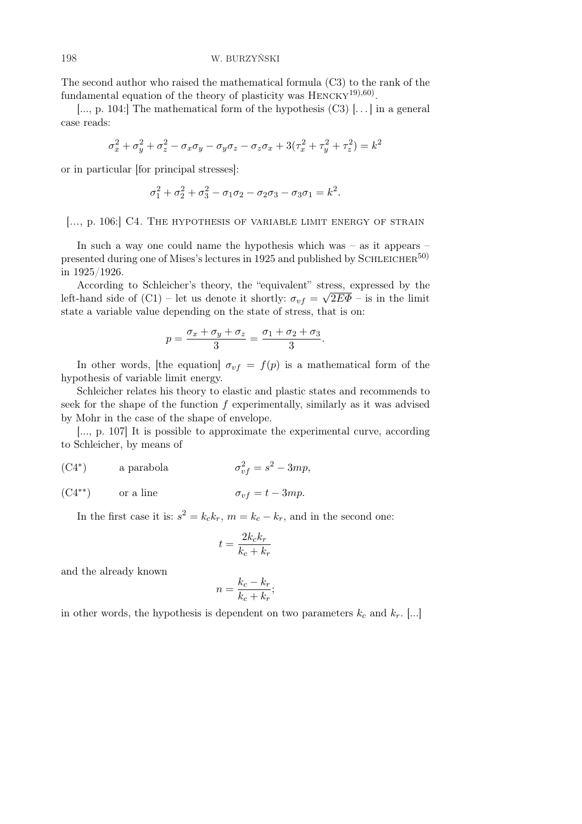The second author who raised the mathematical formula (C3) to the rank of the fundamental equation of the theory of plasticity was  $H_{\text{ENCKY}}^{19,60}$ .

[..., p. 104:] The mathematical form of the hypothesis  $(C3)$  [...] in a general case reads:

$$
\sigma_x^2 + \sigma_y^2 + \sigma_z^2 - \sigma_x \sigma_y - \sigma_y \sigma_z - \sigma_z \sigma_x + 3(\tau_x^2 + \tau_y^2 + \tau_z^2) = k^2
$$

or in particular [for principal stresses]:

$$
\sigma_1^2 + \sigma_2^2 + \sigma_3^2 - \sigma_1 \sigma_2 - \sigma_2 \sigma_3 - \sigma_3 \sigma_1 = k^2.
$$

[..., p. 106:] C4. THE HYPOTHESIS OF VARIABLE LIMIT ENERGY OF STRAIN

In such a way one could name the hypothesis which was – as it appears – presented during one of Mises's lectures in 1925 and published by SCHLEICHER<sup>50)</sup> in 1925/1926.

According to Schleicher's theory, the "equivalent" stress, expressed by the left-hand side of (C1) – let us denote it shortly:  $\sigma_{vf} = \sqrt{2E\Phi - \text{is in the limit}}$ state a variable value depending on the state of stress, that is on:

$$
p = \frac{\sigma_x + \sigma_y + \sigma_z}{3} = \frac{\sigma_1 + \sigma_2 + \sigma_3}{3}.
$$

In other words, [the equation]  $\sigma_{vf} = f(p)$  is a mathematical form of the hypothesis of variable limit energy.

Schleicher relates his theory to elastic and plastic states and recommends to seek for the shape of the function  $f$  experimentally, similarly as it was advised by Mohr in the case of the shape of envelope.

[..., p. 107] It is possible to approximate the experimental curve, according to Schleicher, by means of

 $(C4^*)$ a parabola  $v_f^2 = s^2 - 3mp,$ 

(C4<sup>\*\*</sup>) or a line 
$$
\sigma_{vf} = t - 3mp
$$
.

In the first case it is:  $s^2 = k_c k_r$ ,  $m = k_c - k_r$ , and in the second one:

$$
t = \frac{2k_c k_r}{k_c + k_r}
$$

and the already known

$$
n = \frac{k_c - k_r}{k_c + k_r};
$$

in other words, the hypothesis is dependent on two parameters  $k_c$  and  $k_r$ . [...]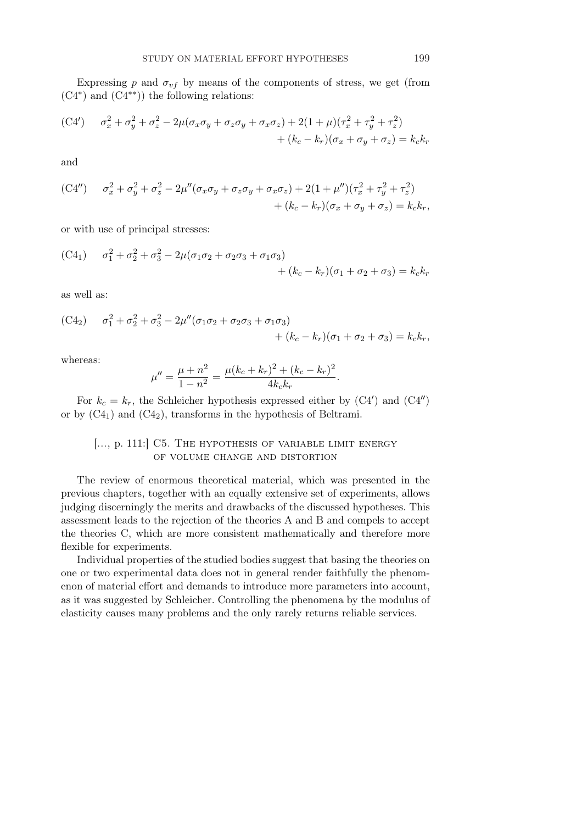Expressing p and  $\sigma_{vf}$  by means of the components of stress, we get (from (C4<sup>∗</sup> ) and (C4∗∗)) the following relations:

(C4') 
$$
\sigma_x^2 + \sigma_y^2 + \sigma_z^2 - 2\mu(\sigma_x \sigma_y + \sigma_z \sigma_y + \sigma_x \sigma_z) + 2(1 + \mu)(\tau_x^2 + \tau_y^2 + \tau_z^2) + (k_c - k_r)(\sigma_x + \sigma_y + \sigma_z) = k_c k_r
$$

and

$$
(C4'') \qquad \sigma_x^2 + \sigma_y^2 + \sigma_z^2 - 2\mu''(\sigma_x \sigma_y + \sigma_z \sigma_y + \sigma_x \sigma_z) + 2(1 + \mu'')(\tau_x^2 + \tau_y^2 + \tau_z^2) + (k_c - k_r)(\sigma_x + \sigma_y + \sigma_z) = k_c k_r,
$$

or with use of principal stresses:

$$
(C41) \quad \sigma_1^2 + \sigma_2^2 + \sigma_3^2 - 2\mu(\sigma_1\sigma_2 + \sigma_2\sigma_3 + \sigma_1\sigma_3) + (k_c - k_r)(\sigma_1 + \sigma_2 + \sigma_3) = k_c k_r
$$

as well as:

$$
\begin{aligned} \text{(C4}_2) \qquad \sigma_1^2 + \sigma_2^2 + \sigma_3^2 - 2\mu''(\sigma_1\sigma_2 + \sigma_2\sigma_3 + \sigma_1\sigma_3) \\qquad \qquad + (k_c - k_r)(\sigma_1 + \sigma_2 + \sigma_3) = k_c k_r, \end{aligned}
$$

whereas:

$$
\mu'' = \frac{\mu + n^2}{1 - n^2} = \frac{\mu (k_c + k_r)^2 + (k_c - k_r)^2}{4k_c k_r}.
$$

For  $k_c = k_r$ , the Schleicher hypothesis expressed either by  $(C4')$  and  $(C4'')$ or by  $(C4_1)$  and  $(C4_2)$ , transforms in the hypothesis of Beltrami.

### [..., p. 111:] C5. THE HYPOTHESIS OF VARIABLE LIMIT ENERGY of volume change and distortion

The review of enormous theoretical material, which was presented in the previous chapters, together with an equally extensive set of experiments, allows judging discerningly the merits and drawbacks of the discussed hypotheses. This assessment leads to the rejection of the theories A and B and compels to accept the theories C, which are more consistent mathematically and therefore more flexible for experiments.

Individual properties of the studied bodies suggest that basing the theories on one or two experimental data does not in general render faithfully the phenomenon of material effort and demands to introduce more parameters into account, as it was suggested by Schleicher. Controlling the phenomena by the modulus of elasticity causes many problems and the only rarely returns reliable services.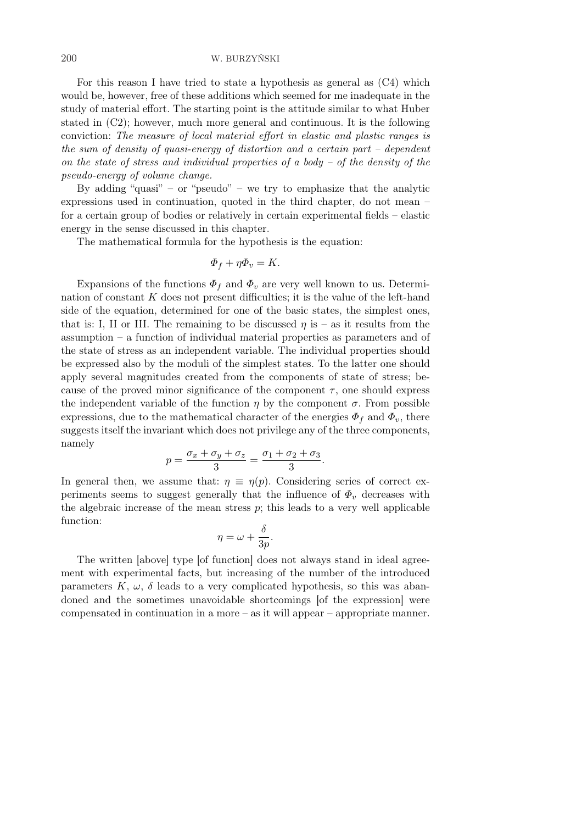For this reason I have tried to state a hypothesis as general as (C4) which would be, however, free of these additions which seemed for me inadequate in the study of material effort. The starting point is the attitude similar to what Huber stated in (C2); however, much more general and continuous. It is the following conviction: The measure of local material effort in elastic and plastic ranges is the sum of density of quasi-energy of distortion and a certain part – dependent on the state of stress and individual properties of a body – of the density of the pseudo-energy of volume change.

By adding "quasi" – or "pseudo" – we try to emphasize that the analytic expressions used in continuation, quoted in the third chapter, do not mean – for a certain group of bodies or relatively in certain experimental fields – elastic energy in the sense discussed in this chapter.

The mathematical formula for the hypothesis is the equation:

$$
\Phi_f + \eta \Phi_v = K.
$$

Expansions of the functions  $\Phi_f$  and  $\Phi_v$  are very well known to us. Determination of constant  $K$  does not present difficulties; it is the value of the left-hand side of the equation, determined for one of the basic states, the simplest ones, that is: I, II or III. The remaining to be discussed  $\eta$  is – as it results from the assumption – a function of individual material properties as parameters and of the state of stress as an independent variable. The individual properties should be expressed also by the moduli of the simplest states. To the latter one should apply several magnitudes created from the components of state of stress; because of the proved minor significance of the component  $\tau$ , one should express the independent variable of the function  $\eta$  by the component  $\sigma$ . From possible expressions, due to the mathematical character of the energies  $\Phi_f$  and  $\Phi_v$ , there suggests itself the invariant which does not privilege any of the three components, namely

$$
p = \frac{\sigma_x + \sigma_y + \sigma_z}{3} = \frac{\sigma_1 + \sigma_2 + \sigma_3}{3}.
$$

In general then, we assume that:  $\eta \equiv \eta(p)$ . Considering series of correct experiments seems to suggest generally that the influence of  $\Phi_v$  decreases with the algebraic increase of the mean stress  $p$ ; this leads to a very well applicable function:

$$
\eta = \omega + \frac{\delta}{3p}.
$$

The written [above] type [of function] does not always stand in ideal agreement with experimental facts, but increasing of the number of the introduced parameters  $K, \omega, \delta$  leads to a very complicated hypothesis, so this was abandoned and the sometimes unavoidable shortcomings [of the expression] were compensated in continuation in a more – as it will appear – appropriate manner.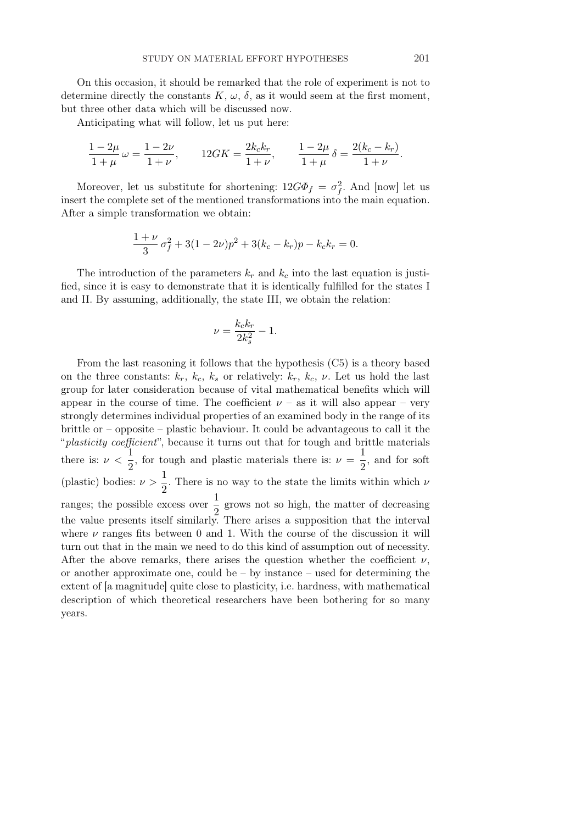On this occasion, it should be remarked that the role of experiment is not to determine directly the constants K,  $\omega$ ,  $\delta$ , as it would seem at the first moment, but three other data which will be discussed now.

Anticipating what will follow, let us put here:

$$
\frac{1-2\mu}{1+\mu}\,\omega = \frac{1-2\nu}{1+\nu}, \qquad 12GK = \frac{2k_c k_r}{1+\nu}, \qquad \frac{1-2\mu}{1+\mu}\,\delta = \frac{2(k_c - k_r)}{1+\nu}.
$$

Moreover, let us substitute for shortening:  $12G\Phi_f = \sigma_f^2$ . And [now] let us insert the complete set of the mentioned transformations into the main equation. After a simple transformation we obtain:

$$
\frac{1+\nu}{3}\,\sigma_f^2 + 3(1-2\nu)p^2 + 3(k_c - k_r)p - k_c k_r = 0.
$$

The introduction of the parameters  $k_r$  and  $k_c$  into the last equation is justified, since it is easy to demonstrate that it is identically fulfilled for the states I and II. By assuming, additionally, the state III, we obtain the relation:

$$
\nu = \frac{k_c k_r}{2k_s^2} - 1.
$$

From the last reasoning it follows that the hypothesis (C5) is a theory based on the three constants:  $k_r$ ,  $k_c$ ,  $k_s$  or relatively:  $k_r$ ,  $k_c$ ,  $\nu$ . Let us hold the last group for later consideration because of vital mathematical benefits which will appear in the course of time. The coefficient  $\nu$  – as it will also appear – very strongly determines individual properties of an examined body in the range of its brittle or – opposite – plastic behaviour. It could be advantageous to call it the "plasticity coefficient", because it turns out that for tough and brittle materials there is:  $\nu < \frac{1}{2}$  $\frac{1}{2}$ , for tough and plastic materials there is:  $\nu = \frac{1}{2}$  $\frac{1}{2}$ , and for soft (plastic) bodies:  $\nu > \frac{1}{2}$  $\frac{1}{2}$ . There is no way to the state the limits within which  $\nu$ ranges; the possible excess over  $\frac{1}{2}$  grows not so high, the matter of decreasing the value presents itself similarly. There arises a supposition that the interval where  $\nu$  ranges fits between 0 and 1. With the course of the discussion it will turn out that in the main we need to do this kind of assumption out of necessity. After the above remarks, there arises the question whether the coefficient  $\nu$ , or another approximate one, could be  $-$  by instance  $-$  used for determining the extent of [a magnitude] quite close to plasticity, i.e. hardness, with mathematical description of which theoretical researchers have been bothering for so many years.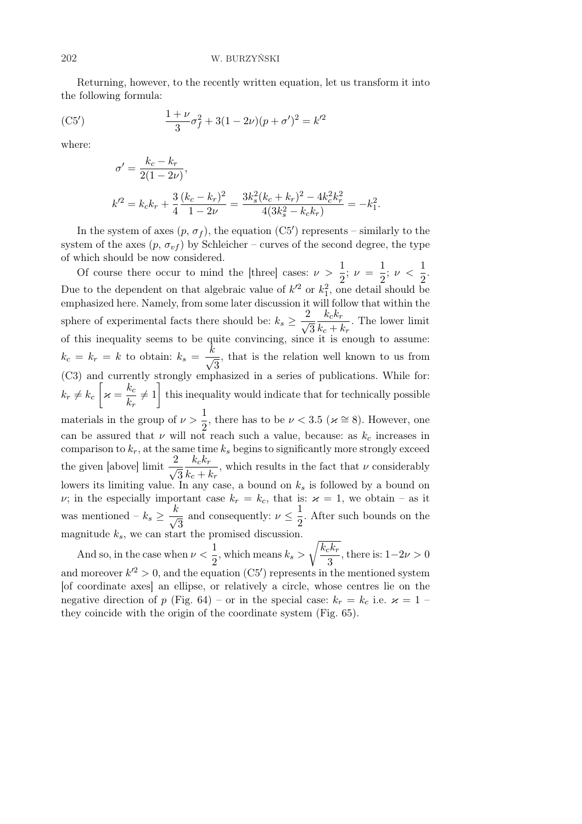Returning, however, to the recently written equation, let us transform it into the following formula:

(C5') 
$$
\frac{1+\nu}{3}\sigma_f^2 + 3(1-2\nu)(p+\sigma')^2 = k'^2
$$

where:

$$
\sigma' = \frac{k_c - k_r}{2(1 - 2\nu)},
$$
  
\n
$$
k'^2 = k_c k_r + \frac{3}{4} \frac{(k_c - k_r)^2}{1 - 2\nu} = \frac{3k_s^2 (k_c + k_r)^2 - 4k_c^2 k_r^2}{4(3k_s^2 - k_c k_r)} = -k_1^2.
$$

In the system of axes  $(p, \sigma_f)$ , the equation  $(C5')$  represents – similarly to the system of the axes  $(p, \sigma_{vf})$  by Schleicher – curves of the second degree, the type of which should be now considered.

Of course there occur to mind the [three] cases:  $\nu > \frac{1}{2}$  $\frac{1}{2}$ ;  $\nu = \frac{1}{2}$  $\frac{1}{2}$ ;  $\nu < \frac{1}{2}$  $\frac{1}{2}$ . Due to the dependent on that algebraic value of  $k'^2$  or  $k_1^2$ , one detail should be emphasized here. Namely, from some later discussion it will follow that within the sphere of experimental facts there should be:  $k_s \geq \frac{2}{\sqrt{3}}$ 3  $k_c k_r$  $\frac{r_{c}^{n}r}{k_{c}+k_{r}}$ . The lower limit of this inequality seems to be quite convincing, since it is enough to assume:  $k_c = k_r = k$  to obtain:  $k_s = \frac{k}{4}$ 3 , that is the relation well known to us from (C3) and currently strongly emphasized in a series of publications. While for:  $k_r \neq k_c \left[ \varkappa = \frac{k_c}{L} \right]$  $\frac{hc}{k_r} \neq 1$  this inequality would indicate that for technically possible materials in the group of  $\nu > \frac{1}{2}$  $\frac{1}{2}$ , there has to be  $\nu < 3.5$  ( $\varkappa \cong 8$ ). However, one can be assured that  $\nu$  will not reach such a value, because: as  $k_c$  increases in comparison to  $k_r$ , at the same time  $k_s$  begins to significantly more strongly exceed the given [above] limit  $\frac{2}{\sqrt{2}}$ 3  $k_c k_r$  $\frac{n_{c}n_{r}}{k_{c}+k_{r}}$ , which results in the fact that  $\nu$  considerably lowers its limiting value. In any case, a bound on  $k<sub>s</sub>$  is followed by a bound on  $\nu$ ; in the especially important case  $k_r = k_c$ , that is:  $\varkappa = 1$ , we obtain – as it was mentioned –  $k_s \geq \frac{k}{4}$ 3 and consequently:  $\nu \leq \frac{1}{2}$  $\frac{1}{2}$ . After such bounds on the magnitude  $k_s$ , we can start the promised discussion. r

And so, in the case when  $\nu < \frac{1}{2}$  $\frac{1}{2}$ , which means  $k_s >$  $k_c k_r$  $\frac{3^{10}r}{3}$ , there is:  $1 - 2\nu > 0$ and moreover  $k'^2 > 0$ , and the equation (C5') represents in the mentioned system [of coordinate axes] an ellipse, or relatively a circle, whose centres lie on the negative direction of p (Fig. 64) – or in the special case:  $k_r = k_c$  i.e.  $\varkappa = 1$  – they coincide with the origin of the coordinate system (Fig. 65).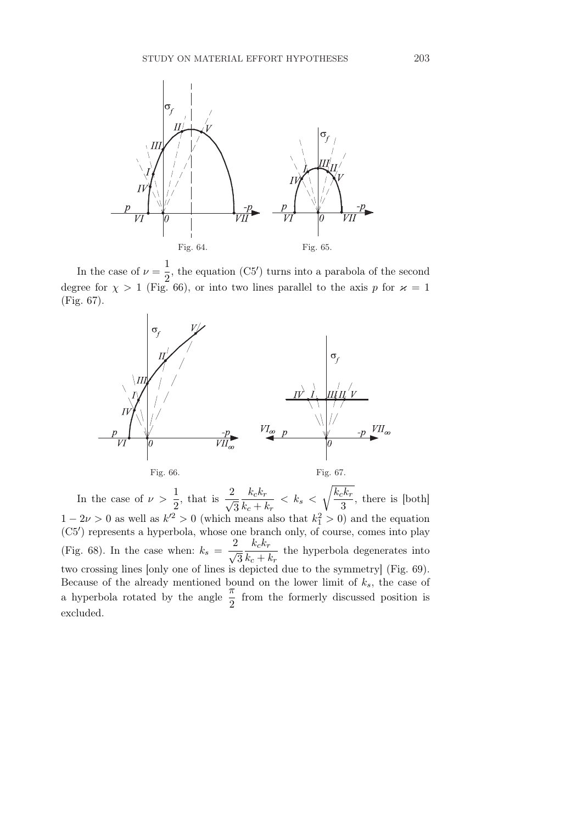

In the case of  $\nu = \frac{1}{2}$  $\frac{1}{2}$ , the equation (C5') turns into a parabola of the second degree for  $\chi > 1$  (Fig. 66), or into two lines parallel to the axis p for  $\varkappa = 1$ (Fig. 67).



In the case of  $\nu > \frac{1}{2}$  $\frac{1}{2}$ , that is  $\frac{2}{\sqrt{2}}$ 3  $k_c k_r$  $\frac{n_{corr}}{k_c + k_r} < k_s <$  $k_c k_r$  $\frac{3}{3}$ , there is [both]  $1 - 2\nu > 0$  as well as  $k'^2 > 0$  (which means also that  $k_1^2 > 0$ ) and the equation (C5') represents a hyperbola, whose one branch only, of course, comes into play (Fig. 68). In the case when:  $k_s = \frac{2}{\sqrt{3}}$ 3  $k_c k_r$  $\frac{n_{c}^{r}}{k_{c} + k_{r}}$  the hyperbola degenerates into two crossing lines [only one of lines is depicted due to the symmetry] (Fig. 69). Because of the already mentioned bound on the lower limit of  $k_s$ , the case of a hyperbola rotated by the angle  $\frac{\pi}{2}$  from the formerly discussed position is excluded.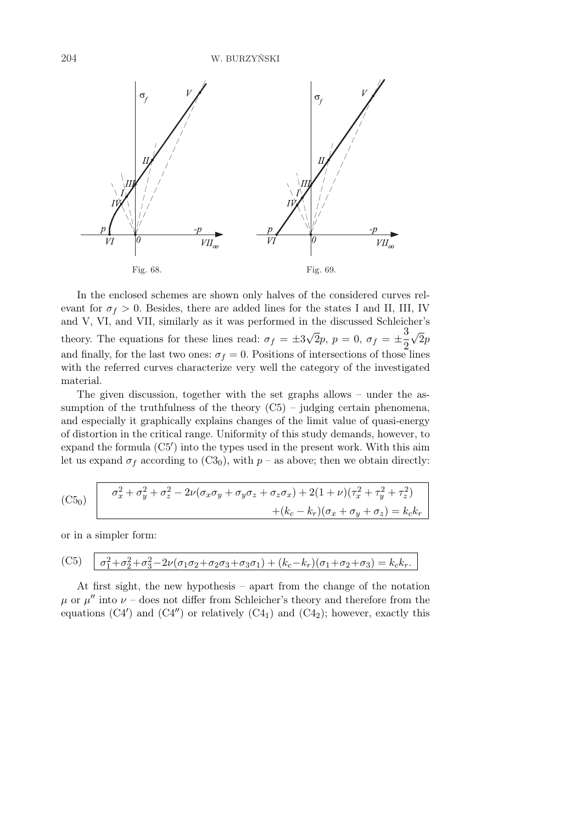

In the enclosed schemes are shown only halves of the considered curves relevant for  $\sigma_f > 0$ . Besides, there are added lines for the states I and II, III, IV and V, VI, and VII, similarly as it was performed in the discussed Schleicher's theory. The equations for these lines read:  $\sigma_f = \pm 3$ √  $\overline{2}p, p = 0, \sigma_f = \pm \frac{3}{2}$ 2 √  $\overline{2p}$ and finally, for the last two ones:  $\sigma_f = 0$ . Positions of intersections of those lines with the referred curves characterize very well the category of the investigated material.

The given discussion, together with the set graphs allows – under the assumption of the truthfulness of the theory  $(C5)$  – judging certain phenomena, and especially it graphically explains changes of the limit value of quasi-energy of distortion in the critical range. Uniformity of this study demands, however, to  $\alpha$  expand the formula  $(C5')$  into the types used in the present work. With this aim let us expand  $\sigma_f$  according to (C3<sub>0</sub>), with  $p$  – as above; then we obtain directly:

(C5<sub>0</sub>) 
$$
\sigma_x^2 + \sigma_y^2 + \sigma_z^2 - 2\nu(\sigma_x \sigma_y + \sigma_y \sigma_z + \sigma_z \sigma_x) + 2(1 + \nu)(\tau_x^2 + \tau_y^2 + \tau_z^2) + (k_c - k_r)(\sigma_x + \sigma_y + \sigma_z) = k_c k_r
$$

or in a simpler form:

(C5) 
$$
\sigma_1^2 + \sigma_2^2 + \sigma_3^2 - 2\nu(\sigma_1\sigma_2 + \sigma_2\sigma_3 + \sigma_3\sigma_1) + (k_c - k_r)(\sigma_1 + \sigma_2 + \sigma_3) = k_c k_r.
$$

At first sight, the new hypothesis – apart from the change of the notation  $\mu$  or  $\mu''$  into  $\nu$  – does not differ from Schleicher's theory and therefore from the equations  $(C4')$  and  $(C4'')$  or relatively  $(C4_1)$  and  $(C4_2)$ ; however, exactly this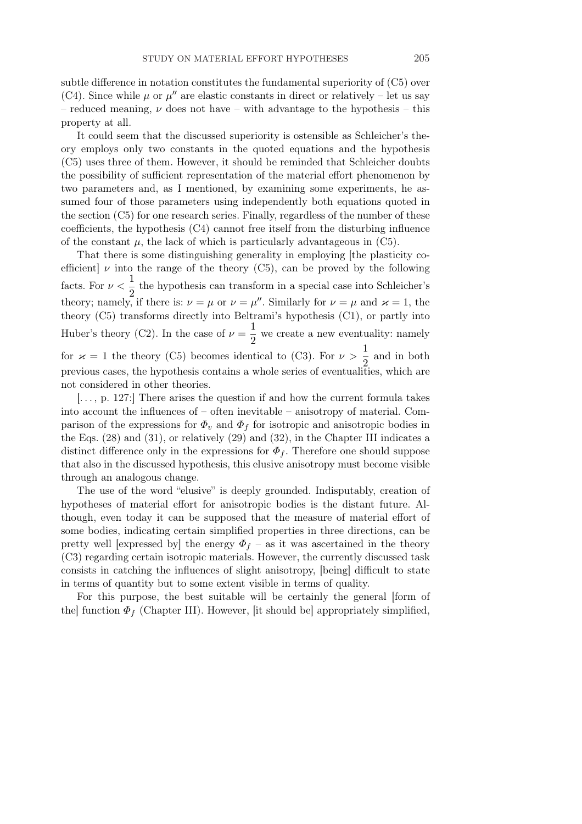subtle difference in notation constitutes the fundamental superiority of (C5) over (C4). Since while  $\mu$  or  $\mu''$  are elastic constants in direct or relatively – let us say – reduced meaning,  $\nu$  does not have – with advantage to the hypothesis – this property at all.

It could seem that the discussed superiority is ostensible as Schleicher's theory employs only two constants in the quoted equations and the hypothesis (C5) uses three of them. However, it should be reminded that Schleicher doubts the possibility of sufficient representation of the material effort phenomenon by two parameters and, as I mentioned, by examining some experiments, he assumed four of those parameters using independently both equations quoted in the section (C5) for one research series. Finally, regardless of the number of these coefficients, the hypothesis (C4) cannot free itself from the disturbing influence of the constant  $\mu$ , the lack of which is particularly advantageous in (C5).

That there is some distinguishing generality in employing [the plasticity coefficient  $\nu$  into the range of the theory (C5), can be proved by the following facts. For  $\nu < \frac{1}{2}$  $\frac{1}{2}$  the hypothesis can transform in a special case into Schleicher's theory; namely, if there is:  $\nu = \mu$  or  $\nu = \mu''$ . Similarly for  $\nu = \mu$  and  $\varkappa = 1$ , the theory (C5) transforms directly into Beltrami's hypothesis (C1), or partly into Huber's theory (C2). In the case of  $\nu = \frac{1}{2}$  $\frac{1}{2}$  we create a new eventuality: namely for  $\varkappa = 1$  the theory (C5) becomes identical to (C3). For  $\nu > \frac{1}{2}$  $\frac{1}{2}$  and in both previous cases, the hypothesis contains a whole series of eventualities, which are not considered in other theories.

 $\ldots$ , p. 127: There arises the question if and how the current formula takes into account the influences of – often inevitable – anisotropy of material. Comparison of the expressions for  $\Phi_v$  and  $\Phi_f$  for isotropic and anisotropic bodies in the Eqs. (28) and (31), or relatively (29) and (32), in the Chapter III indicates a distinct difference only in the expressions for  $\Phi_f$ . Therefore one should suppose that also in the discussed hypothesis, this elusive anisotropy must become visible through an analogous change.

The use of the word "elusive" is deeply grounded. Indisputably, creation of hypotheses of material effort for anisotropic bodies is the distant future. Although, even today it can be supposed that the measure of material effort of some bodies, indicating certain simplified properties in three directions, can be pretty well [expressed by] the energy  $\Phi_f$  – as it was ascertained in the theory (C3) regarding certain isotropic materials. However, the currently discussed task consists in catching the influences of slight anisotropy, [being] difficult to state in terms of quantity but to some extent visible in terms of quality.

For this purpose, the best suitable will be certainly the general [form of the function  $\Phi_f$  (Chapter III). However, [it should be] appropriately simplified,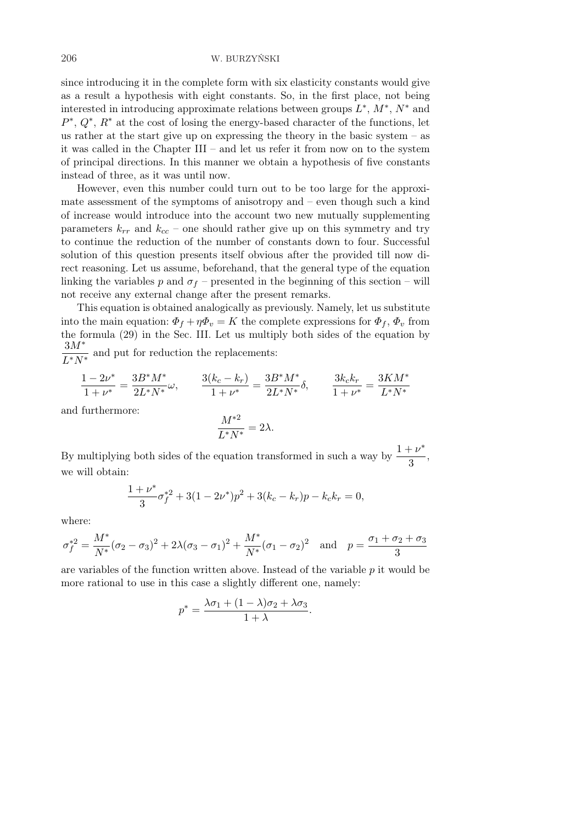since introducing it in the complete form with six elasticity constants would give as a result a hypothesis with eight constants. So, in the first place, not being interested in introducing approximate relations between groups  $L^*, M^*, N^*$  and  $P^*, Q^*, R^*$  at the cost of losing the energy-based character of the functions, let us rather at the start give up on expressing the theory in the basic system – as it was called in the Chapter III – and let us refer it from now on to the system of principal directions. In this manner we obtain a hypothesis of five constants instead of three, as it was until now.

However, even this number could turn out to be too large for the approximate assessment of the symptoms of anisotropy and – even though such a kind of increase would introduce into the account two new mutually supplementing parameters  $k_{rr}$  and  $k_{cc}$  – one should rather give up on this symmetry and try to continue the reduction of the number of constants down to four. Successful solution of this question presents itself obvious after the provided till now direct reasoning. Let us assume, beforehand, that the general type of the equation linking the variables p and  $\sigma_f$  – presented in the beginning of this section – will not receive any external change after the present remarks.

This equation is obtained analogically as previously. Namely, let us substitute into the main equation:  $\Phi_f + \eta \Phi_v = K$  the complete expressions for  $\Phi_f$ ,  $\Phi_v$  from the formula (29) in the Sec. III. Let us multiply both sides of the equation by 3M<sup>∗</sup>  $\frac{\partial H}{\partial x}$  and put for reduction the replacements:

$$
\frac{1 - 2\nu^*}{1 + \nu^*} = \frac{3B^* M^*}{2L^* N^*} \omega, \qquad \frac{3(k_c - k_r)}{1 + \nu^*} = \frac{3B^* M^*}{2L^* N^*} \delta, \qquad \frac{3k_c k_r}{1 + \nu^*} = \frac{3K M^*}{L^* N^*}
$$

and furthermore:

$$
\frac{M^{*2}}{L^*N^*}=2\lambda.
$$

By multiplying both sides of the equation transformed in such a way by  $\frac{1+\nu^*}{2}$  $\frac{1}{3}$ , we will obtain:

$$
\frac{1+\nu^*}{3}\sigma_f^{*2} + 3(1-2\nu^*)p^2 + 3(k_c - k_r)p - k_c k_r = 0,
$$

where:

$$
\sigma_f^{*2} = \frac{M^*}{N^*} (\sigma_2 - \sigma_3)^2 + 2\lambda(\sigma_3 - \sigma_1)^2 + \frac{M^*}{N^*} (\sigma_1 - \sigma_2)^2 \text{ and } p = \frac{\sigma_1 + \sigma_2 + \sigma_3}{3}
$$

are variables of the function written above. Instead of the variable p it would be more rational to use in this case a slightly different one, namely:

$$
p^* = \frac{\lambda \sigma_1 + (1 - \lambda)\sigma_2 + \lambda \sigma_3}{1 + \lambda}.
$$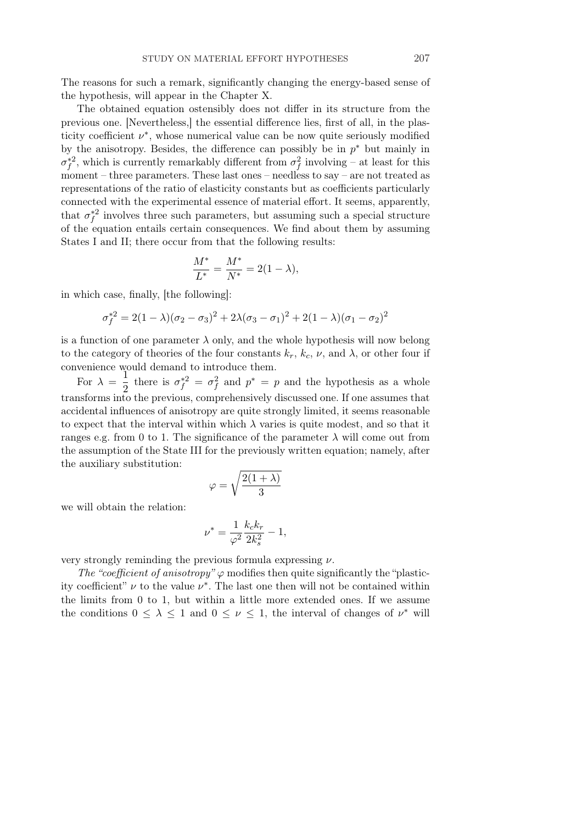The reasons for such a remark, significantly changing the energy-based sense of the hypothesis, will appear in the Chapter X.

The obtained equation ostensibly does not differ in its structure from the previous one. [Nevertheless,] the essential difference lies, first of all, in the plasticity coefficient  $\nu^*$ , whose numerical value can be now quite seriously modified by the anisotropy. Besides, the difference can possibly be in  $p^*$  but mainly in  $\sigma_f^{*2}$ , which is currently remarkably different from  $\sigma_f^2$  involving – at least for this moment – three parameters. These last ones – needless to say – are not treated as representations of the ratio of elasticity constants but as coefficients particularly connected with the experimental essence of material effort. It seems, apparently, that  $\sigma_f^{*2}$  involves three such parameters, but assuming such a special structure of the equation entails certain consequences. We find about them by assuming States I and II; there occur from that the following results:

$$
\frac{M^*}{L^*} = \frac{M^*}{N^*} = 2(1 - \lambda),
$$

in which case, finally, [the following]:

$$
\sigma_f^{*2} = 2(1 - \lambda)(\sigma_2 - \sigma_3)^2 + 2\lambda(\sigma_3 - \sigma_1)^2 + 2(1 - \lambda)(\sigma_1 - \sigma_2)^2
$$

is a function of one parameter  $\lambda$  only, and the whole hypothesis will now belong to the category of theories of the four constants  $k_r$ ,  $k_c$ ,  $\nu$ , and  $\lambda$ , or other four if convenience would demand to introduce them.

For  $\lambda = \frac{1}{2}$  $\frac{1}{2}$  there is  $\sigma_f^{*2} = \sigma_f^2$  and  $p^* = p$  and the hypothesis as a whole transforms into the previous, comprehensively discussed one. If one assumes that accidental influences of anisotropy are quite strongly limited, it seems reasonable to expect that the interval within which  $\lambda$  varies is quite modest, and so that it ranges e.g. from 0 to 1. The significance of the parameter  $\lambda$  will come out from the assumption of the State III for the previously written equation; namely, after the auxiliary substitution: r

$$
\varphi = \sqrt{\frac{2(1+\lambda)}{3}}
$$

we will obtain the relation:

$$
\nu^* = \frac{1}{\varphi^2} \frac{k_c k_r}{2k_s^2} - 1,
$$

very strongly reminding the previous formula expressing  $\nu$ .

The "coefficient of anisotropy"  $\varphi$  modifies then quite significantly the "plasticity coefficient"  $\nu$  to the value  $\nu^*$ . The last one then will not be contained within the limits from 0 to 1, but within a little more extended ones. If we assume the conditions  $0 \leq \lambda \leq 1$  and  $0 \leq \nu \leq 1$ , the interval of changes of  $\nu^*$  will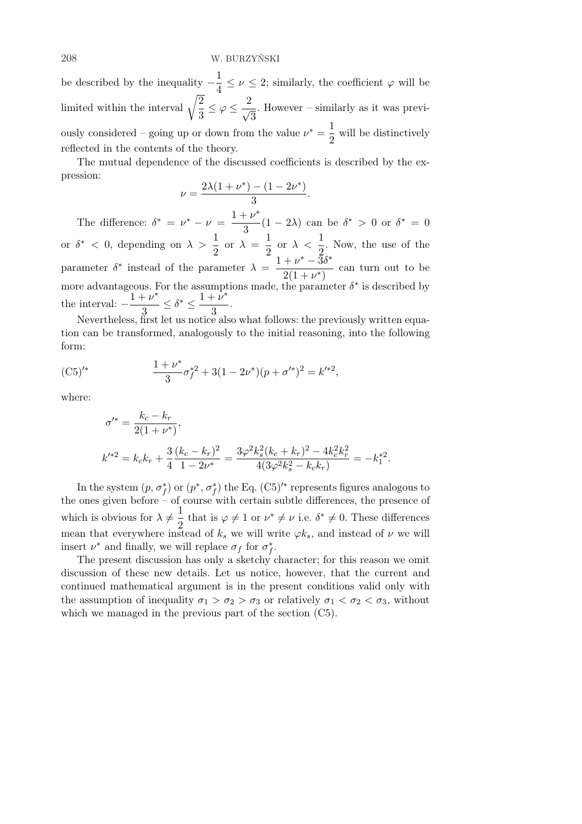be described by the inequality  $-\frac{1}{4}$  $\frac{1}{4} \leq \nu \leq 2$ ; similarly, the coefficient  $\varphi$  will be limited within the interval  $\sqrt{\frac{2}{3}}$  $\frac{2}{3} \leq \varphi \leq \frac{2}{\sqrt{3}}$ 3 . However – similarly as it was previously considered – going up or down from the value  $\nu^* = \frac{1}{2}$  $\frac{1}{2}$  will be distinctively reflected in the contents of the theory.

The mutual dependence of the discussed coefficients is described by the expression:

$$
\nu = \frac{2\lambda(1 + \nu^*) - (1 - 2\nu^*)}{3}.
$$

The difference:  $\delta^* = \nu^* - \nu = \frac{1 + \nu^*}{2}$  $\frac{1-\nu}{3}(1-2\lambda)$  can be  $\delta^* > 0$  or  $\delta^* = 0$ or  $\delta^*$  < 0, depending on  $\lambda > \frac{1}{2}$  or  $\lambda = \frac{1}{2}$  $\frac{1}{2}$  or  $\lambda < \frac{1}{2}$  $\frac{1}{2}$ . Now, the use of the parameter  $\delta^*$  instead of the parameter  $\lambda = \frac{1 + \nu^* - 3\delta^*}{2(1 + \nu^*)}$  $\frac{1-\nu}{2(1+\nu^*)}$  can turn out to be more advantageous. For the assumptions made, the parameter  $\delta^*$  is described by the interval:  $-\frac{1+\nu^*}{2}$  $\frac{1+\nu^*}{3} \leq \delta^* \leq \frac{1+\nu^*}{3}$  $rac{p}{3}$ .

Nevertheless, first let us notice also what follows: the previously written equation can be transformed, analogously to the initial reasoning, into the following form:

$$
(C5)'^{*} \qquad \qquad \frac{1+\nu^{*}}{3}\sigma_f^{*2}+3(1-2\nu^{*})(p+\sigma'^{*})^2=k'^{*2},
$$

where:

$$
\sigma'^* = \frac{k_c - k_r}{2(1 + \nu^*)},
$$
  
\n
$$
k'^{*2} = k_c k_r + \frac{3}{4} \frac{(k_c - k_r)^2}{1 - 2\nu^*} = \frac{3\varphi^2 k_s^2 (k_c + k_r)^2 - 4k_c^2 k_r^2}{4(3\varphi^2 k_s^2 - k_c k_r)} = -k_1^{*2}.
$$

In the system  $(p, \sigma_f^*)$  or  $(p^*, \sigma_f^*)$  the Eq.  $(C5)$ <sup>'\*</sup> represents figures analogous to the ones given before – of course with certain subtle differences, the presence of which is obvious for  $\lambda \neq \frac{1}{2}$  $\frac{1}{2}$  that is  $\varphi \neq 1$  or  $\nu^* \neq \nu$  i.e.  $\delta^* \neq 0$ . These differences mean that everywhere instead of  $k_s$  we will write  $\varphi k_s$ , and instead of  $\nu$  we will insert  $\nu^*$  and finally, we will replace  $\sigma_f$  for  $\sigma_f^*$ .

The present discussion has only a sketchy character; for this reason we omit discussion of these new details. Let us notice, however, that the current and continued mathematical argument is in the present conditions valid only with the assumption of inequality  $\sigma_1 > \sigma_2 > \sigma_3$  or relatively  $\sigma_1 < \sigma_2 < \sigma_3$ , without which we managed in the previous part of the section (C5).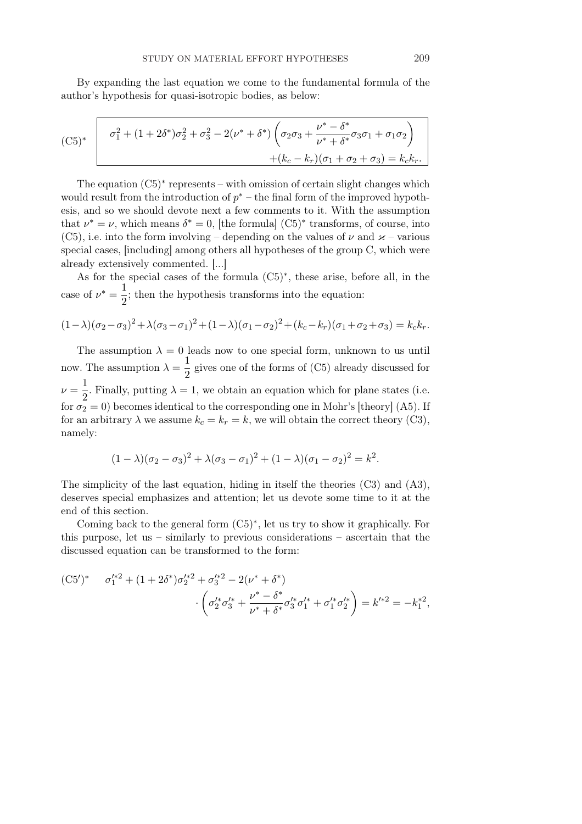By expanding the last equation we come to the fundamental formula of the author's hypothesis for quasi-isotropic bodies, as below:

$$
\begin{array}{|c|c|}\n\hline\n\text{(C5)}^* & \boxed{\sigma_1^2 + (1 + 2\delta^*)\sigma_2^2 + \sigma_3^2 - 2(\nu^* + \delta^*)\left(\sigma_2\sigma_3 + \frac{\nu^* - \delta^*}{\nu^* + \delta^*}\sigma_3\sigma_1 + \sigma_1\sigma_2\right)} \\
& & + (k_c - k_r)(\sigma_1 + \sigma_2 + \sigma_3) = k_c k_r.\n\hline\n\end{array}
$$

The equation  $(C5)^*$  represents – with omission of certain slight changes which would result from the introduction of  $p^*$  – the final form of the improved hypothesis, and so we should devote next a few comments to it. With the assumption that  $\nu^* = \nu$ , which means  $\delta^* = 0$ , [the formula] (C5)<sup>\*</sup> transforms, of course, into (C5), i.e. into the form involving – depending on the values of  $\nu$  and  $\varkappa$  – various special cases, [including] among others all hypotheses of the group C, which were already extensively commented. [...]

As for the special cases of the formula (C5)<sup>∗</sup> , these arise, before all, in the case of  $\nu^* = \frac{1}{2}$  $\frac{1}{2}$ ; then the hypothesis transforms into the equation:

$$
(1 - \lambda)(\sigma_2 - \sigma_3)^2 + \lambda(\sigma_3 - \sigma_1)^2 + (1 - \lambda)(\sigma_1 - \sigma_2)^2 + (k_c - k_r)(\sigma_1 + \sigma_2 + \sigma_3) = k_c k_r.
$$

The assumption  $\lambda = 0$  leads now to one special form, unknown to us until now. The assumption  $\lambda = \frac{1}{2}$  $\frac{1}{2}$  gives one of the forms of (C5) already discussed for  $\nu = \frac{1}{2}$  $\frac{1}{2}$ . Finally, putting  $\lambda = 1$ , we obtain an equation which for plane states (i.e. for  $\sigma_2 = 0$ ) becomes identical to the corresponding one in Mohr's [theory] (A5). If for an arbitrary  $\lambda$  we assume  $k_c = k_r = k$ , we will obtain the correct theory (C3), namely:

$$
(1 - \lambda)(\sigma_2 - \sigma_3)^2 + \lambda(\sigma_3 - \sigma_1)^2 + (1 - \lambda)(\sigma_1 - \sigma_2)^2 = k^2.
$$

The simplicity of the last equation, hiding in itself the theories (C3) and (A3), deserves special emphasizes and attention; let us devote some time to it at the end of this section.

Coming back to the general form (C5)<sup>∗</sup> , let us try to show it graphically. For this purpose, let us – similarly to previous considerations – ascertain that the discussed equation can be transformed to the form:

$$
(C5')^* \quad \sigma_1^{\prime*2} + (1+2\delta^*)\sigma_2^{\prime*2} + \sigma_3^{\prime*2} - 2(\nu^* + \delta^*)
$$

$$
\cdot \left(\sigma_2^{\prime*}\sigma_3^{\prime*} + \frac{\nu^* - \delta^*}{\nu^* + \delta^*}\sigma_3^{\prime*}\sigma_1^{\prime*} + \sigma_1^{\prime*}\sigma_2^{\prime*}\right) = k^{\prime*2} = -k_1^{*2},
$$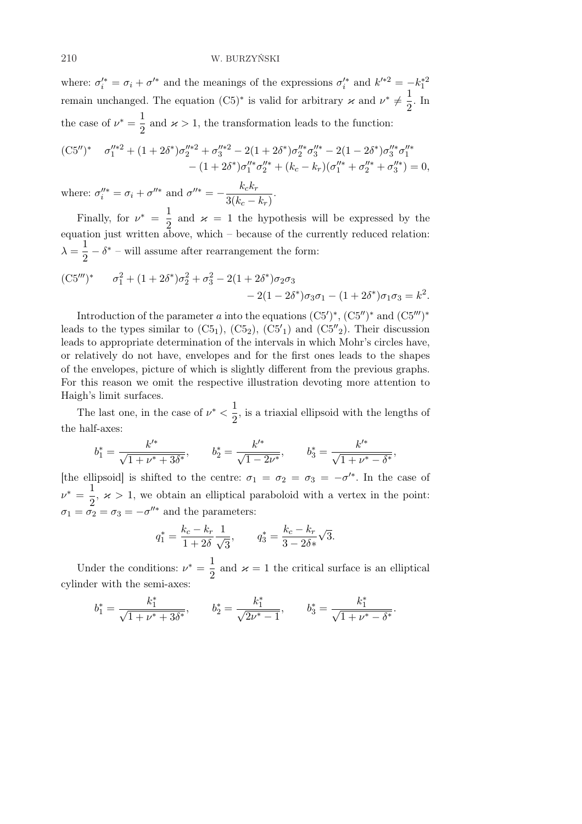where:  $\sigma_i^{\prime *} = \sigma_i + \sigma^{\prime *}$  and the meanings of the expressions  $\sigma_i^{\prime *}$  and  $k^{\prime *2} = -k_1^{*2}$ remain unchanged. The equation  $(C5)^*$  is valid for arbitrary  $\varkappa$  and  $\nu^* \neq \frac{1}{2}$  $\frac{1}{2}$ . In the case of  $\nu^* = \frac{1}{2}$  $\frac{1}{2}$  and  $\varkappa > 1$ , the transformation leads to the function:

$$
(C5'')^* \quad \sigma_1''^{*2} + (1+2\delta^*)\sigma_2''^{*2} + \sigma_3''^{*2} - 2(1+2\delta^*)\sigma_2''^{*}\sigma_3''^{*} - 2(1-2\delta^*)\sigma_3''^{*}\sigma_1''^{*} - (1+2\delta^*)\sigma_1''^{*}\sigma_2''^{*} + (k_c - k_r)(\sigma_1''^{*} + \sigma_2''^{*} + \sigma_3''^{*}) = 0,
$$

where:  $\sigma_i''^* = \sigma_i + \sigma''^*$  and  $\sigma''^* = -\frac{k_c k_r}{3(k_c+1)}$  $\frac{n_c n_r}{3(k_c - k_r)}$ 

Finally, for  $\nu^* = \frac{1}{2}$  $\frac{1}{2}$  and  $\varkappa = 1$  the hypothesis will be expressed by the equation just written above, which – because of the currently reduced relation:  $\lambda = \frac{1}{2}$  $\frac{1}{2} - \delta^*$  – will assume after rearrangement the form: 2 ∗ 2 2 ∗

$$
(C5''')^* \qquad \sigma_1^2 + (1+2\delta^*)\sigma_2^2 + \sigma_3^2 - 2(1+2\delta^*)\sigma_2\sigma_3
$$
  
- 2(1-2\delta^\*)\sigma\_3\sigma\_1 - (1+2\delta^\*)\sigma\_1\sigma\_3 = k^2.

Introduction of the parameter a into the equations  $(C5')^*$ ,  $(C5'')^*$  and  $(C5'')^*$ leads to the types similar to  $(C5_1)$ ,  $(C5_2)$ ,  $(C5'_1)$  and  $(C5''_2)$ . Their discussion leads to appropriate determination of the intervals in which Mohr's circles have, or relatively do not have, envelopes and for the first ones leads to the shapes of the envelopes, picture of which is slightly different from the previous graphs. For this reason we omit the respective illustration devoting more attention to Haigh's limit surfaces.

The last one, in the case of  $\nu^* < \frac{1}{2}$  $\frac{1}{2}$ , is a triaxial ellipsoid with the lengths of the half-axes:

$$
b_1^* = \frac{k'^*}{\sqrt{1 + \nu^* + 3\delta^*}},
$$
  $b_2^* = \frac{k'^*}{\sqrt{1 - 2\nu^*}},$   $b_3^* = \frac{k'^*}{\sqrt{1 + \nu^* - \delta^*}}$ 

,

[the ellipsoid] is shifted to the centre:  $\sigma_1 = \sigma_2 = \sigma_3 = -\sigma'^*$ . In the case of  $\nu^* = \frac{1}{2}$  $\frac{1}{2}$ ,  $\varkappa > 1$ , we obtain an elliptical paraboloid with a vertex in the point:  $\sigma_1 = \sigma_2 = \sigma_3 = -\sigma''^*$  and the parameters:

$$
q_1^* = \frac{k_c - k_r}{1 + 2\delta} \frac{1}{\sqrt{3}},
$$
  $q_3^* = \frac{k_c - k_r}{3 - 2\delta^*} \sqrt{3}.$ 

Under the conditions:  $\nu^* = \frac{1}{2}$  $\frac{1}{2}$  and  $\varkappa = 1$  the critical surface is an elliptical cylinder with the semi-axes:

$$
b_1^* = \frac{k_1^*}{\sqrt{1 + \nu^* + 3\delta^*}},
$$
  $b_2^* = \frac{k_1^*}{\sqrt{2\nu^* - 1}},$   $b_3^* = \frac{k_1^*}{\sqrt{1 + \nu^* - \delta^*}}.$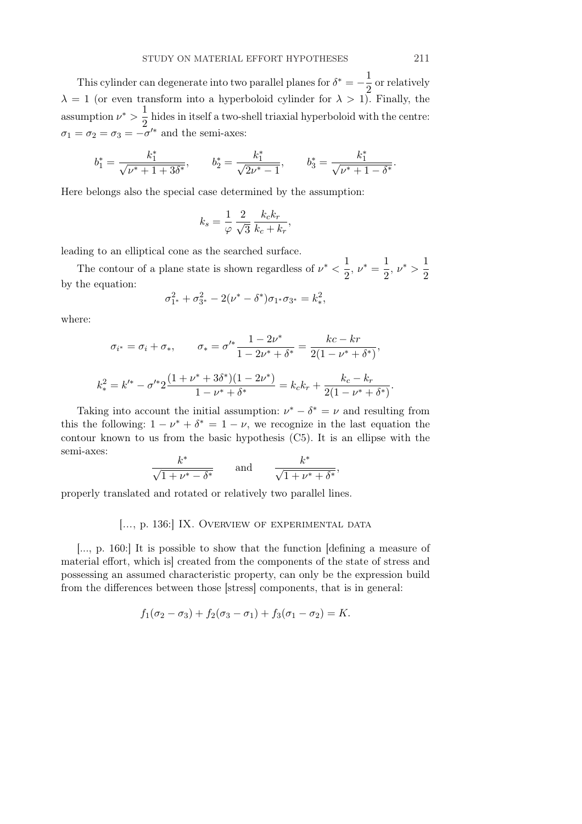This cylinder can degenerate into two parallel planes for  $\delta^* = -\frac{1}{2}$  $\frac{1}{2}$  or relatively  $\lambda = 1$  (or even transform into a hyperboloid cylinder for  $\lambda > 1$ ). Finally, the assumption  $\nu^* > \frac{1}{2}$  $\frac{1}{2}$  hides in itself a two-shell triaxial hyperboloid with the centre:  $\sigma_1 = \sigma_2 = \sigma_3 = -\sigma'^*$  and the semi-axes:

$$
b_1^* = \frac{k_1^*}{\sqrt{\nu^* + 1 + 3\delta^*}}, \qquad b_2^* = \frac{k_1^*}{\sqrt{2\nu^* - 1}}, \qquad b_3^* = \frac{k_1^*}{\sqrt{\nu^* + 1 - \delta^*}}.
$$

Here belongs also the special case determined by the assumption:

$$
k_s = \frac{1}{\varphi} \frac{2}{\sqrt{3}} \frac{k_c k_r}{k_c + k_r},
$$

leading to an elliptical cone as the searched surface.

σ

The contour of a plane state is shown regardless of  $\nu^* < \frac{1}{2}$  $\frac{1}{2}$ ,  $\nu^* = \frac{1}{2}$  $\frac{1}{2}$ ,  $\nu^*$  >  $\frac{1}{2}$ 2 by the equation:

$$
\sigma_{1^*}^2 + \sigma_{3^*}^2 - 2(\nu^* - \delta^*)\sigma_{1^*}\sigma_{3^*} = k_*^2,
$$

where:

$$
\sigma_{i^*} = \sigma_i + \sigma_*, \qquad \sigma_* = \sigma'^* \frac{1 - 2\nu^*}{1 - 2\nu^* + \delta^*} = \frac{kc - kr}{2(1 - \nu^* + \delta^*)},
$$

$$
k_*^2 = k'^* - \sigma'^* 2 \frac{(1 + \nu^* + 3\delta^*)(1 - 2\nu^*)}{1 - \nu^* + \delta^*} = k_c k_r + \frac{k_c - k_r}{2(1 - \nu^* + \delta^*)}.
$$

Taking into account the initial assumption:  $\nu^* - \delta^* = \nu$  and resulting from this the following:  $1 - \nu^* + \delta^* = 1 - \nu$ , we recognize in the last equation the contour known to us from the basic hypothesis (C5). It is an ellipse with the semi-axes:

$$
\frac{k^*}{\sqrt{1+\nu^*-\delta^*}} \qquad \text{and} \qquad \frac{k^*}{\sqrt{1+\nu^*+\delta^*}},
$$

properly translated and rotated or relatively two parallel lines.

### [..., p. 136:] IX. OVERVIEW OF EXPERIMENTAL DATA

[..., p. 160:] It is possible to show that the function [defining a measure of material effort, which is] created from the components of the state of stress and possessing an assumed characteristic property, can only be the expression build from the differences between those [stress] components, that is in general:

$$
f_1(\sigma_2 - \sigma_3) + f_2(\sigma_3 - \sigma_1) + f_3(\sigma_1 - \sigma_2) = K.
$$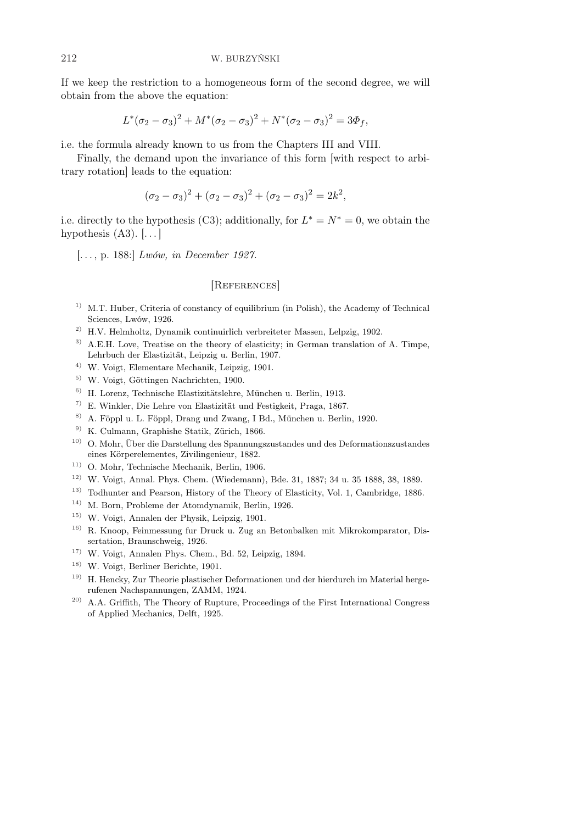If we keep the restriction to a homogeneous form of the second degree, we will obtain from the above the equation:

$$
L^*(\sigma_2 - \sigma_3)^2 + M^*(\sigma_2 - \sigma_3)^2 + N^*(\sigma_2 - \sigma_3)^2 = 3\Phi_f,
$$

i.e. the formula already known to us from the Chapters III and VIII.

Finally, the demand upon the invariance of this form [with respect to arbitrary rotation] leads to the equation:

$$
(\sigma_2 - \sigma_3)^2 + (\sigma_2 - \sigma_3)^2 + (\sigma_2 - \sigma_3)^2 = 2k^2,
$$

i.e. directly to the hypothesis (C3); additionally, for  $L^* = N^* = 0$ , we obtain the hypothesis  $(A3)$ .  $[\ldots]$ 

[. . . , p. 188:] Lwów, in December 1927.

## [REFERENCES]

- $1)$  M.T. Huber, Criteria of constancy of equilibrium (in Polish), the Academy of Technical Sciences, Lwów, 1926.
- $^{2)}$  H.V. Helmholtz, Dynamik continuirlich verbreiteter Massen, Lelpzig, 1902.
- <sup>3)</sup> A.E.H. Love, Treatise on the theory of elasticity; in German translation of A. Timpe, Lehrbuch der Elastizität, Leipzig u. Berlin, 1907.
- 4) W. Voigt, Elementare Mechanik, Leipzig, 1901.
- 5) W. Voigt, Göttingen Nachrichten, 1900.
- 6) H. Lorenz, Technische Elastizitätslehre, München u. Berlin, 1913.
- 7) E. Winkler, Die Lehre von Elastizität und Festigkeit, Praga, 1867.
- 8) A. Föppl u. L. Föppl, Drang und Zwang, I Bd., München u. Berlin, 1920.
- 9) K. Culmann, Graphishe Statik, Zürich, 1866.
- 10) O. Mohr, Über die Darstellung des Spannungszustandes und des Deformationszustandes eines Körperelementes, Zivilingenieur, 1882.
- 11) O. Mohr, Technische Mechanik, Berlin, 1906.
- 12) W. Voigt, Annal. Phys. Chem. (Wiedemann), Bde. 31, 1887; 34 u. 35 1888, 38, 1889.
- 13) Todhunter and Pearson, History of the Theory of Elasticity, Vol. 1, Cambridge, 1886.
- 14) M. Born, Probleme der Atomdynamik, Berlin, 1926.
- 15) W. Voigt, Annalen der Physik, Leipzig, 1901.
- 16) R. Knoop, Feinmessung fur Druck u. Zug an Betonbalken mit Mikrokomparator, Dissertation, Braunschweig, 1926.
- 17) W. Voigt, Annalen Phys. Chem., Bd. 52, Leipzig, 1894.
- 18) W. Voigt, Berliner Berichte, 1901.
- 19) H. Hencky, Zur Theorie plastischer Deformationen und der hierdurch im Material hergerufenen Nachspannungen, ZAMM, 1924.
- 20) A.A. Griffith, The Theory of Rupture, Proceedings of the First International Congress of Applied Mechanics, Delft, 1925.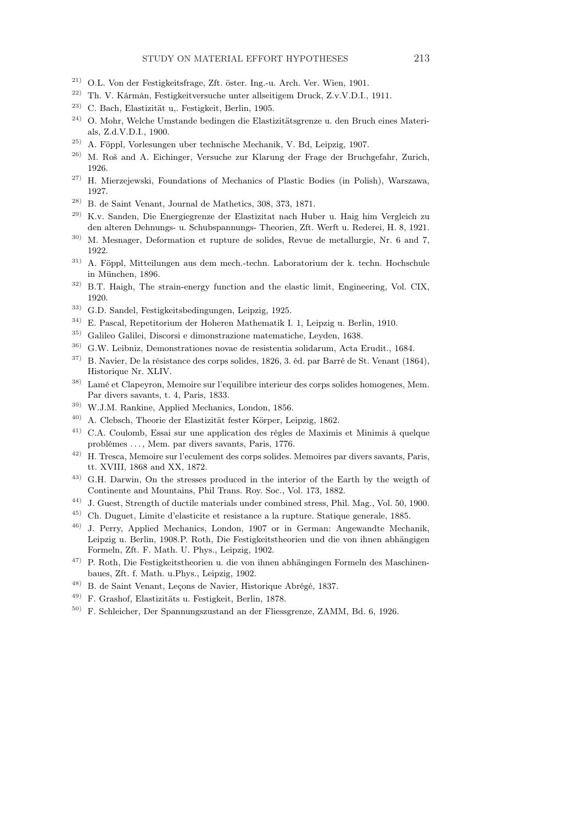- 21) O.L. Von der Festigkeitsfrage, Zft. öster. Ing.-u. Arch. Ver. Wien, 1901.
- 22) Th. V. Kármán, Festigkeitversuche unter allseitigem Druck, Z.v.V.D.I., 1911.
- 23) C. Bach, Elastizität u,. Festigkeit, Berlin, 1905.
- 24) O. Mohr, Welche Umstande bedingen die Elastizitätsgrenze u. den Bruch eines Materials, Z.d.V.D.I., 1900.
- 25) A. Föppl, Vorlesungen uber technische Mechanik, V. Bd, Leipzig, 1907.
- 26) M. Roš and A. Eichinger, Versuche zur Klarung der Frage der Bruchgefahr, Zurich, 1926.
- 27) H. Mierzejewski, Foundations of Mechanics of Plastic Bodies (in Polish), Warszawa, 1927.
- $^{28)}$  B. de Saint Venant, Journal de Mathetics, 308, 373, 1871.
- 29) K.v. Sanden, Die Energiegrenze der Elastizitat nach Huber u. Haig him Vergleich zu den alteren Dehnungs- u. Schubspannungs- Theorien, Zft. Werft u. Rederei, H. 8, 1921.
- $30)$  M. Mesnager, Deformation et rupture de solides, Revue de metallurgie, Nr. 6 and 7, 1922.
- 31) A. Föppl, Mitteilungen aus dem mech.-techn. Laboratorium der k. techn. Hochschule in München, 1896.
- 32) B.T. Haigh, The strain-energy function and the elastic limit, Engineering, Vol. CIX, 1920.
- 33) G.D. Sandel, Festigkeitsbedingungen, Leipzig, 1925.
- 34) E. Pascal, Repetitorium der Hoheren Mathematik I. 1, Leipzig u. Berlin, 1910.
- 35) Galileo Galilei, Discorsi e dimonstrazione matematiche, Leyden, 1638.
- 36) G.W. Leibniz, Demonstrationes novae de resistentia solidarum, Acta Erudit., 1684.
- $37)$  B. Navier, De la résistance des corps solides, 1826, 3. éd. par Barré de St. Venant (1864), Historique Nr. XLIV.
- 38) Lamé et Clapeyron, Memoire sur l'equilibre interieur des corps solides homogenes, Mem. Par divers savants, t. 4, Paris, 1833.
- 39) W.J.M. Rankine, Applied Mechanics, London, 1856.
- 40) A. Clebsch, Theorie der Elastizität fester Körper, Leipzig, 1862.
- 41) C.A. Coulomb, Essai sur une application des régles de Maximis et Minimis à quelque problémes . . . , Mem. par divers savants, Paris, 1776.
- 42) H. Tresca, Memoire sur l'eculement des corps solides. Memoires par divers savants, Paris, tt. XVIII, 1868 and XX, 1872.
- 43) G.H. Darwin, On the stresses produced in the interior of the Earth by the weigth of Continente and Mountains, Phil Trans. Roy. Soc., Vol. 173, 1882.
- 44) J. Guest, Strength of ductile materials under combined stress, Phil. Mag., Vol. 50, 1900.
- 45) Ch. Duguet, Limite d'elasticite et resistance a la rupture. Statique generale, 1885.
- 46) J. Perry, Applied Mechanics, London, 1907 or in German: Angewandte Mechanik, Leipzig u. Berlin, 1908.P. Roth, Die Festigkeitstheorien und die von ihnen abhängigen Formeln, Zft. F. Math. U. Phys., Leipzig, 1902.
- 47) P. Roth, Die Festigkeitstheorien u. die von ihnen abhängingen Formeln des Maschinenbaues, Zft. f. Math. u.Phys., Leipzig, 1902.
- 48) B. de Saint Venant, Leçons de Navier, Historique Abrégé, 1837.
- 49) F. Grashof, Elastizitäts u. Festigkeit, Berlin, 1878.
- 50) F. Schleicher, Der Spannungszustand an der Fliessgrenze, ZAMM, Bd. 6, 1926.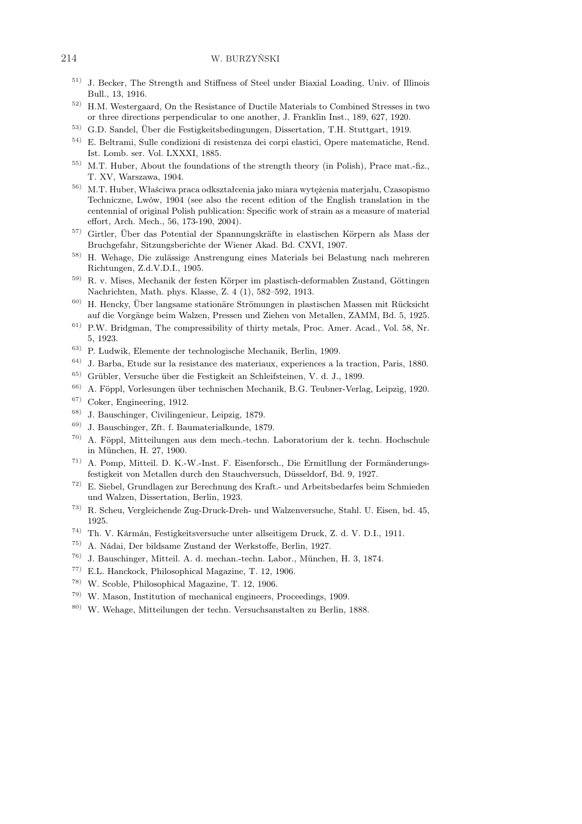#### 214 W. BURZYŃSKI

- 51) J. Becker, The Strength and Stiffness of Steel under Biaxial Loading, Univ. of Illinois Bull., 13, 1916.
- 52) H.M. Westergaard, On the Resistance of Ductile Materials to Combined Stresses in two or three directions perpendicular to one another, J. Franklin Inst., 189, 627, 1920.
- 53) G.D. Sandel, Über die Festigkeitsbedingungen, Dissertation, T.H. Stuttgart, 1919.
- 54) E. Beltrami, Sulle condizioni di resistenza dei corpi elastici, Opere matematiche, Rend. Ist. Lomb. ser. Vol. LXXXI, 1885.
- 55) M.T. Huber, About the foundations of the strength theory (in Polish), Prace mat.-fiz., T. XV, Warszawa, 1904.
- 56) M.T. Huber, Właściwa praca odkształcenia jako miara wytężenia materjału, Czasopismo Techniczne, Lwów, 1904 (see also the recent edition of the English translation in the centennial of original Polish publication: Specific work of strain as a measure of material effort, Arch. Mech., 56, 173-190, 2004).
- 57) Girtler, Über das Potential der Spannungskräfte in elastischen Körpern als Mass der Bruchgefahr, Sitzungsberichte der Wiener Akad. Bd. CXVI, 1907.
- 58) H. Wehage, Die zulässige Anstrengung eines Materials bei Belastung nach mehreren Richtungen, Z.d.V.D.I., 1905.
- 59) R. v. Mises, Mechanik der festen Körper im plastisch-deformablen Zustand, Göttingen Nachrichten, Math. phys. Klasse, Z. 4 (1), 582–592, 1913.
- 60) H. Hencky, Über langsame stationäre Strömungen in plastischen Massen mit Rücksicht auf die Vorgänge beim Walzen, Pressen und Ziehen von Metallen, ZAMM, Bd. 5, 1925.
- 61) P.W. Bridgman, The compressibility of thirty metals, Proc. Amer. Acad., Vol. 58, Nr. 5, 1923.
- 63) P. Ludwik, Elemente der technologische Mechanik, Berlin, 1909.
- 64) J. Barba, Etude sur la resistance des materiaux, experiences a la traction, Paris, 1880.
- 65) Grübler, Versuche über die Festigkeit an Schleifsteinen, V. d. J., 1899.
- 66) A. Föppl, Vorlesungen über technischen Mechanik, B.G. Teubner-Verlag, Leipzig, 1920.
- 67) Coker, Engineering, 1912.
- 68) J. Bauschinger, Civilingenieur, Leipzig, 1879.
- 69) J. Bauschinger, Zft. f. Baumaterialkunde, 1879.
- 70) A. Föppl, Mitteilungen aus dem mech.-techn. Laboratorium der k. techn. Hochschule in München, H. 27, 1900.
- 71) A. Pomp, Mitteil. D. K.-W.-Inst. F. Eisenforsch., Die Ermitllung der Formänderungsfestigkeit von Metallen durch den Stauchversuch, Düsseldorf, Bd. 9, 1927.
- 72) E. Siebel, Grundlagen zur Berechnung des Kraft.- und Arbeitsbedarfes beim Schmieden und Walzen, Dissertation, Berlin, 1923.
- 73) R. Scheu, Vergleichende Zug-Druck-Dreh- und Walzenversuche, Stahl. U. Eisen, bd. 45, 1925.
- 74) Th. V. Kármán, Festigkeitsversuche unter allseitigem Druck, Z. d. V. D.I., 1911.
- 75) A. Nádai, Der bildsame Zustand der Werkstoffe, Berlin, 1927.
- 76) J. Bauschinger, Mitteil. A. d. mechan.-techn. Labor., München, H. 3, 1874.
- 77) E.L. Hanckock, Philosophical Magazine, T. 12, 1906.
- 78) W. Scoble, Philosophical Magazine, T. 12, 1906.
- 79) W. Mason, Institution of mechanical engineers, Proceedings, 1909.
- 80) W. Wehage, Mitteilungen der techn. Versuchsanstalten zu Berlin, 1888.